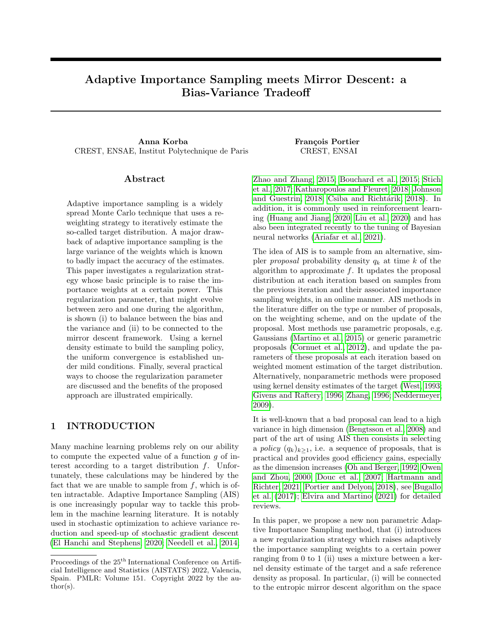# Adaptive Importance Sampling meets Mirror Descent: a Bias-Variance Tradeoff

Anna Korba **François Portier** CREST, ENSAE, Institut Polytechnique de Paris CREST, ENSAI

## Abstract

Adaptive importance sampling is a widely spread Monte Carlo technique that uses a reweighting strategy to iteratively estimate the so-called target distribution. A major drawback of adaptive importance sampling is the large variance of the weights which is known to badly impact the accuracy of the estimates. This paper investigates a regularization strategy whose basic principle is to raise the importance weights at a certain power. This regularization parameter, that might evolve between zero and one during the algorithm, is shown (i) to balance between the bias and the variance and (ii) to be connected to the mirror descent framework. Using a kernel density estimate to build the sampling policy, the uniform convergence is established under mild conditions. Finally, several practical ways to choose the regularization parameter are discussed and the benefits of the proposed approach are illustrated empirically.

# 1 INTRODUCTION

Many machine learning problems rely on our ability to compute the expected value of a function g of interest according to a target distribution f. Unfortunately, these calculations may be hindered by the fact that we are unable to sample from  $f$ , which is often intractable. Adaptive Importance Sampling (AIS) is one increasingly popular way to tackle this problem in the machine learning literature. It is notably used in stochastic optimization to achieve variance reduction and speed-up of stochastic gradient descent [\(El Hanchi and Stephens, 2020;](#page-8-0) [Needell et al., 2014;](#page-9-0)

[Zhao and Zhang, 2015;](#page-10-0) [Bouchard et al., 2015;](#page-8-1) [Stich](#page-9-1) [et al., 2017;](#page-9-1) [Katharopoulos and Fleuret, 2018;](#page-9-2) [Johnson](#page-9-3) [and Guestrin, 2018;](#page-9-3) Csiba and Richtárik, 2018). In addition, it is commonly used in reinforcement learning [\(Huang and Jiang, 2020;](#page-9-4) [Liu et al., 2020\)](#page-9-5) and has also been integrated recently to the tuning of Bayesian neural networks [\(Ariafar et al., 2021\)](#page-8-3).

The idea of AIS is to sample from an alternative, simpler *proposal* probability density  $q_k$  at time k of the algorithm to approximate  $f$ . It updates the proposal distribution at each iteration based on samples from the previous iteration and their associated importance sampling weights, in an online manner. AIS methods in the literature differ on the type or number of proposals, on the weighting scheme, and on the update of the proposal. Most methods use parametric proposals, e.g. Gaussians [\(Martino et al., 2015\)](#page-9-6) or generic parametric proposals [\(Cornuet et al., 2012\)](#page-8-4), and update the parameters of these proposals at each iteration based on weighted moment estimation of the target distribution. Alternatively, nonparametric methods were proposed using kernel density estimates of the target [\(West, 1993;](#page-10-1) [Givens and Raftery, 1996;](#page-9-7) [Zhang, 1996;](#page-10-2) [Neddermeyer,](#page-9-8) [2009\)](#page-9-8).

It is well-known that a bad proposal can lead to a high variance in high dimension [\(Bengtsson et al., 2008\)](#page-8-5) and part of the art of using AIS then consists in selecting a *policy*  $(q_k)_{k>1}$ , i.e. a sequence of proposals, that is practical and provides good efficiency gains, especially as the dimension increases [\(Oh and Berger, 1992;](#page-9-9) [Owen](#page-9-10) [and Zhou, 2000;](#page-9-10) [Douc et al., 2007;](#page-8-6) [Hartmann and](#page-9-11) [Richter, 2021;](#page-9-11) [Portier and Delyon, 2018\)](#page-9-12), see [Bugallo](#page-8-7) [et al. \(2017\)](#page-8-7); [Elvira and Martino \(2021\)](#page-9-13) for detailed reviews.

In this paper, we propose a new non parametric Adaptive Importance Sampling method, that (i) introduces a new regularization strategy which raises adaptively the importance sampling weights to a certain power ranging from 0 to 1 (ii) uses a mixture between a kernel density estimate of the target and a safe reference density as proposal. In particular, (i) will be connected to the entropic mirror descent algorithm on the space

Proceedings of the  $25^{\mathrm{th}}$  International Conference on Artificial Intelligence and Statistics (AISTATS) 2022, Valencia, Spain. PMLR: Volume 151. Copyright 2022 by the au- $\text{thor}(s)$ .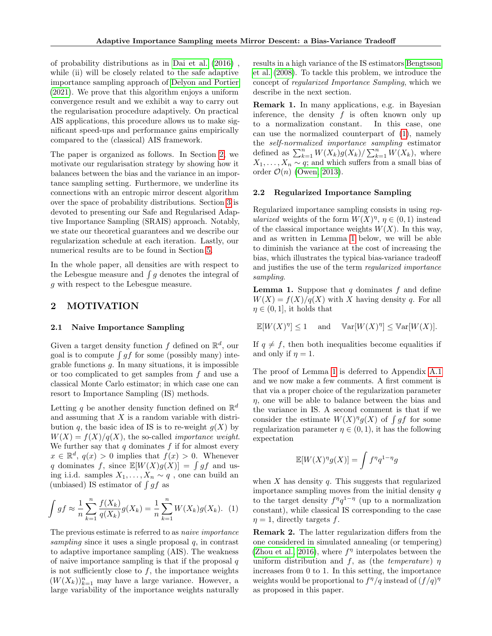of probability distributions as in [Dai et al. \(2016\)](#page-8-8) , while (ii) will be closely related to the safe adaptive importance sampling approach of [Delyon and Portier](#page-8-9) [\(2021\)](#page-8-9). We prove that this algorithm enjoys a uniform convergence result and we exhibit a way to carry out the regularisation procedure adaptively. On practical AIS applications, this procedure allows us to make significant speed-ups and performance gains empirically compared to the (classical) AIS framework.

The paper is organized as follows. In Section [2,](#page-1-0) we motivate our regularisation strategy by showing how it balances between the bias and the variance in an importance sampling setting. Furthermore, we underline its connections with an entropic mirror descent algorithm over the space of probability distributions. Section [3](#page-2-0) is devoted to presenting our Safe and Regularised Adaptive Importance Sampling (SRAIS) approach. Notably, we state our theoretical guarantees and we describe our regularization schedule at each iteration. Lastly, our numerical results are to be found in Section [5.](#page-6-0)

In the whole paper, all densities are with respect to the Lebesgue measure and  $\int g$  denotes the integral of g with respect to the Lebesgue measure.

# <span id="page-1-0"></span>2 MOTIVATION

#### 2.1 Naive Importance Sampling

Given a target density function f defined on  $\mathbb{R}^d$ , our goal is to compute  $\int gf$  for some (possibly many) integrable functions  $g$ . In many situations, it is impossible or too complicated to get samples from  $f$  and use a classical Monte Carlo estimator; in which case one can resort to Importance Sampling (IS) methods.

Letting q be another density function defined on  $\mathbb{R}^d$ and assuming that  $X$  is a random variable with distribution q, the basic idea of IS is to re-weight  $g(X)$  by  $W(X) = f(X)/g(X)$ , the so-called *importance weight*. We further say that  $q$  dominates  $f$  if for almost every  $x \in \mathbb{R}^d$ ,  $q(x) > 0$  implies that  $f(x) > 0$ . Whenever q dominates f, since  $\mathbb{E}[W(X)g(X)] = \int gf$  and using i.i.d. samples  $X_1, \ldots, X_n \sim q$ , one can build an (unbiased) IS estimator of  $\int gf$  as

<span id="page-1-1"></span>
$$
\int gf \approx \frac{1}{n} \sum_{k=1}^{n} \frac{f(X_k)}{q(X_k)} g(X_k) = \frac{1}{n} \sum_{k=1}^{n} W(X_k) g(X_k). \tag{1}
$$

The previous estimate is referred to as naive importance sampling since it uses a single proposal  $q$ , in contrast to adaptive importance sampling (AIS). The weakness of naive importance sampling is that if the proposal  $q$ is not sufficiently close to  $f$ , the importance weights  $(W(X_k))_{k=1}^n$  may have a large variance. However, a large variability of the importance weights naturally

results in a high variance of the IS estimators [Bengtsson](#page-8-5) [et al. \(2008\)](#page-8-5). To tackle this problem, we introduce the concept of regularized Importance Sampling, which we describe in the next section.

Remark 1. In many applications, e.g. in Bayesian inference, the density  $f$  is often known only up to a normalization constant. In this case, one can use the normalized counterpart of [\(1\)](#page-1-1), namely the self-normalized importance sampling estimator defined as  $\sum_{k=1}^{n} W(X_k) g(X_k) / \sum_{k=1}^{n} W(X_k)$ , where  $X_1, \ldots, X_n \sim q$ ; and which suffers from a small bias of order  $\mathcal{O}(n)$  [\(Owen, 2013\)](#page-9-14).

#### <span id="page-1-3"></span>2.2 Regularized Importance Sampling

Regularized importance sampling consists in using regularized weights of the form  $W(X)^{\eta}$ ,  $\eta \in (0,1)$  instead of the classical importance weights  $W(X)$ . In this way, and as written in Lemma [1](#page-1-2) below, we will be able to diminish the variance at the cost of increasing the bias, which illustrates the typical bias-variance tradeoff and justifies the use of the term regularized importance sampling.

<span id="page-1-2"></span>**Lemma 1.** Suppose that q dominates f and define  $W(X) = f(X)/g(X)$  with X having density q. For all  $\eta \in (0, 1]$ , it holds that

$$
\mathbb{E}[W(X)^{\eta}] \le 1 \quad \text{ and } \quad \mathbb{V}\mathrm{ar}[W(X)^{\eta}] \le \mathbb{V}\mathrm{ar}[W(X)].
$$

If  $q \neq f$ , then both inequalities become equalities if and only if  $\eta = 1$ .

The proof of Lemma [1](#page-1-2) is deferred to Appendix [A.1](#page-11-0) and we now make a few comments. A first comment is that via a proper choice of the regularization parameter  $\eta$ , one will be able to balance between the bias and the variance in IS. A second comment is that if we consider the estimate  $W(X)^{\eta}g(X)$  of  $\int gf$  for some regularization parameter  $\eta \in (0,1)$ , it has the following expectation

$$
\mathbb{E}[W(X)^{\eta}g(X)] = \int f^{\eta}q^{1-\eta}g
$$

when  $X$  has density  $q$ . This suggests that regularized importance sampling moves from the initial density  $q$ to the target density  $f^{\eta}q^{1-\eta}$  (up to a normalization constant), while classical IS corresponding to the case  $\eta = 1$ , directly targets f.

Remark 2. The latter regularization differs from the one considered in simulated annealing (or tempering) [\(Zhou et al., 2016\)](#page-10-3), where  $f^{\eta}$  interpolates between the uniform distribution and f, as (the temperature)  $\eta$ increases from 0 to 1. In this setting, the importance weights would be proportional to  $f^{\eta}/q$  instead of  $(f/q)^{\eta}$ as proposed in this paper.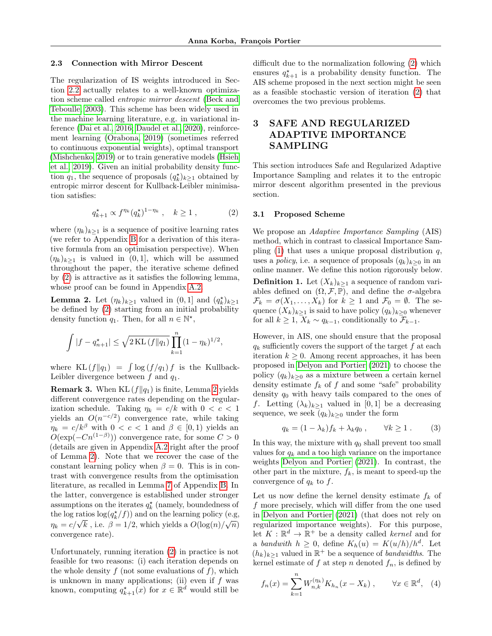#### 2.3 Connection with Mirror Descent

The regularization of IS weights introduced in Section [2.2](#page-1-3) actually relates to a well-known optimization scheme called entropic mirror descent [\(Beck and](#page-8-10) [Teboulle, 2003\)](#page-8-10). This scheme has been widely used in the machine learning literature, e.g. in variational inference [\(Dai et al., 2016;](#page-8-8) [Daudel et al., 2020\)](#page-8-11), reinforcement learning [\(Orabona, 2019\)](#page-9-15) (sometimes referred to continuous exponential weights), optimal transport [\(Mishchenko, 2019\)](#page-9-16) or to train generative models [\(Hsieh](#page-9-17) [et al., 2019\)](#page-9-17). Given an initial probability density function  $q_1$ , the sequence of proposals  $(q_k^{\star})_{k\geq 1}$  obtained by entropic mirror descent for Kullback-Leibler minimisation satisfies:

$$
q_{k+1}^{\star} \propto f^{\eta_k} (q_k^{\star})^{1-\eta_k} , \quad k \ge 1 , \tag{2}
$$

where  $(\eta_k)_{k>1}$  is a sequence of positive learning rates (we refer to Appendix [B](#page-12-0) for a derivation of this iterative formula from an optimisation perspective). When  $(\eta_k)_{k>1}$  is valued in  $(0, 1]$ , which will be assumed throughout the paper, the iterative scheme defined by [\(2\)](#page-2-1) is attractive as it satisfies the following lemma, whose proof can be found in Appendix [A.2.](#page-11-1)

<span id="page-2-2"></span>**Lemma 2.** Let  $(\eta_k)_{k\geq 1}$  valued in  $(0,1]$  and  $(q_k^*)_{k\geq 1}$ be defined by [\(2\)](#page-2-1) starting from an initial probability density function  $q_1$ . Then, for all  $n \in \mathbb{N}^*$ ,

$$
\int |f - q_{n+1}^{\star}| \leq \sqrt{2 \text{ KL}(f||q_1)} \prod_{k=1}^{n} (1 - \eta_k)^{1/2},
$$

where  $KL(f||q_1) = \int \log(f/q_1) f$  is the Kullback-Leibler divergence between  $f$  and  $q_1$ .

**Remark 3.** When KL  $(f||q_1)$  is finite, Lemma [2](#page-2-2) yields different convergence rates depending on the regularization schedule. Taking  $\eta_k = c/k$  with  $0 < c < 1$ yields an  $O(n^{-c/2})$  convergence rate, while taking  $\eta_k = c/k^{\beta}$  with  $0 < c < 1$  and  $\beta \in [0, 1)$  yields an  $O(\exp(-Cn^{(1-\beta)}))$  convergence rate, for some  $C > 0$ (details are given in Appendix [A.2](#page-11-1) right after the proof of Lemma [2\)](#page-2-2). Note that we recover the case of the constant learning policy when  $\beta = 0$ . This is in contrast with convergence results from the optimisation literature, as recalled in Lemma [7](#page-13-0) of Appendix [B.](#page-12-0) In the latter, convergence is established under stronger assumptions on the iterates  $q_k^\star$  (namely, boundedness of the log ratios  $log(q_k^{\star}/f)$  and on the learning policy (e.g,  $\eta_k = c/\sqrt{k}$ , i.e.  $\beta = 1/2$ , which yields a  $O(\log(n)/\sqrt{n})$ convergence rate).

Unfortunately, running iteration [\(2\)](#page-2-1) in practice is not feasible for two reasons: (i) each iteration depends on the whole density  $f$  (not some evaluations of  $f$ ), which is unknown in many applications; (ii) even if  $f$  was known, computing  $q_{k+1}^*(x)$  for  $x \in \mathbb{R}^d$  would still be

difficult due to the normalization following [\(2\)](#page-2-1) which ensures  $q_{k+1}^*$  is a probability density function. The AIS scheme proposed in the next section might be seen as a feasible stochastic version of iteration [\(2\)](#page-2-1) that overcomes the two previous problems.

# <span id="page-2-0"></span>3 SAFE AND REGULARIZED ADAPTIVE IMPORTANCE SAMPLING

This section introduces Safe and Regularized Adaptive Importance Sampling and relates it to the entropic mirror descent algorithm presented in the previous section.

#### <span id="page-2-1"></span>3.1 Proposed Scheme

We propose an Adaptive Importance Sampling (AIS) method, which in contrast to classical Importance Sampling  $(1)$  that uses a unique proposal distribution q, uses a *policy*, i.e. a sequence of proposals  $(q_k)_{k\geq 0}$  in an online manner. We define this notion rigorously below. **Definition 1.** Let  $(X_k)_{k>1}$  a sequence of random variables defined on  $(\Omega, \mathcal{F}, \mathbb{P})$ , and define the  $\sigma$ -algebra  $\mathcal{F}_k = \sigma(X_1, \ldots, X_k)$  for  $k \geq 1$  and  $\mathcal{F}_0 = \emptyset$ . The sequence  $(X_k)_{k>1}$  is said to have policy  $(q_k)_{k>0}$  whenever for all  $k \geq 1$ ,  $X_k \sim q_{k-1}$ , conditionally to  $\mathcal{F}_{k-1}$ .

However, in AIS, one should ensure that the proposal  $q_k$  sufficiently covers the support of the target f at each iteration  $k \geq 0$ . Among recent approaches, it has been proposed in [Delyon and Portier \(2021\)](#page-8-9) to choose the policy  $(q_k)_{k>0}$  as a mixture between a certain kernel density estimate  $f_k$  of f and some "safe" probability density  $q_0$  with heavy tails compared to the ones of f. Letting  $(\lambda_k)_{k\geq 1}$  valued in [0, 1] be a decreasing sequence, we seek  $(q_k)_{k\geq 0}$  under the form

<span id="page-2-4"></span>
$$
q_k = (1 - \lambda_k) f_k + \lambda_k q_0 , \qquad \forall k \ge 1 . \tag{3}
$$

In this way, the mixture with  $q_0$  shall prevent too small values for  $q_k$  and a too high variance on the importance weights [Delyon and Portier \(2021\)](#page-8-9). In contrast, the other part in the mixture,  $f_k$ , is meant to speed-up the convergence of  $q_k$  to  $f$ .

Let us now define the kernel density estimate  $f_k$  of f more precisely, which will differ from the one used in [Delyon and Portier \(2021\)](#page-8-9) (that does not rely on regularized importance weights). For this purpose, let  $K : \mathbb{R}^d \to \mathbb{R}^+$  be a density called *kernel* and for a bandwith  $h \geq 0$ , define  $K_h(u) = K(u/h)/h^d$ . Let  $(h_k)_{k\geq 1}$  valued in  $\mathbb{R}^+$  be a sequence of *bandwidths*. The kernel estimate of f at step n denoted  $f_n$ , is defined by

<span id="page-2-3"></span>
$$
f_n(x) = \sum_{k=1}^n W_{n,k}^{(\eta_k)} K_{h_n}(x - X_k) , \qquad \forall x \in \mathbb{R}^d, \quad (4)
$$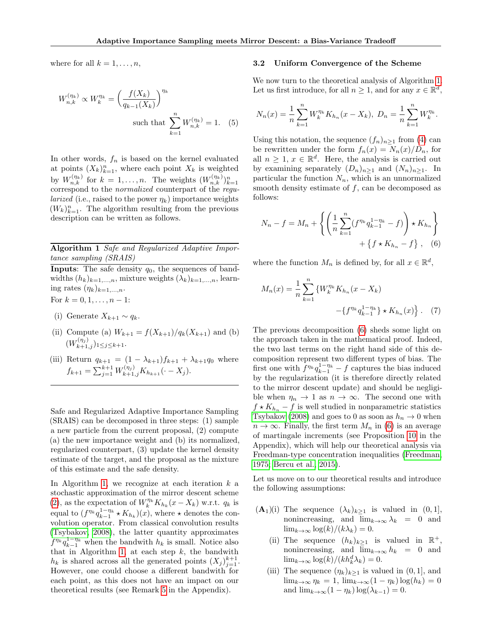where for all  $k = 1, \ldots, n$ ,

$$
W_{n,k}^{(\eta_k)} \propto W_k^{\eta_k} = \left(\frac{f(X_k)}{q_{k-1}(X_k)}\right)^{\eta_k}
$$
  
such that 
$$
\sum_{k=1}^n W_{n,k}^{(\eta_k)} = 1.
$$
 (5)

In other words,  $f_n$  is based on the kernel evaluated at points  $(X_k)_{k=1}^n$ , where each point  $X_k$  is weighted by  $W_{n,k}^{(\eta_k)}$  for  $k=1,\ldots,n$ . The weights  $(W_{n,k}^{(\eta_k)})_{k=1}^n$ correspond to the normalized counterpart of the regu*larized* (i.e., raised to the power  $\eta_k$ ) importance weights  $(W_k)_{k=1}^n$ . The algorithm resulting from the previous description can be written as follows.

<span id="page-3-0"></span>Algorithm 1 Safe and Regularized Adaptive Importance sampling (SRAIS)

**Inputs:** The safe density  $q_0$ , the sequences of bandwidths  $(h_k)_{k=1,\ldots,n}$ , mixture weights  $(\lambda_k)_{k=1,\ldots,n}$ , learning rates  $(\eta_k)_{k=1,\ldots,n}$ .

For  $k = 0, 1, \ldots, n - 1$ :

- (i) Generate  $X_{k+1} \sim q_k$ .
- (ii) Compute (a)  $W_{k+1} = f(X_{k+1})/q_k(X_{k+1})$  and (b)  $(W_{k+1,j}^{(\eta_j)})_{1\leq j\leq k+1}.$
- (iii) Return  $q_{k+1} = (1 \lambda_{k+1})f_{k+1} + \lambda_{k+1}q_0$  where  $f_{k+1} = \sum_{j=1}^{k+1} W_{k+1,j}^{(\eta_j)} K_{h_{k+1}}(\cdot - X_j).$

Safe and Regularized Adaptive Importance Sampling (SRAIS) can be decomposed in three steps: (1) sample a new particle from the current proposal, (2) compute (a) the new importance weight and (b) its normalized, regularized counterpart, (3) update the kernel density estimate of the target, and the proposal as the mixture of this estimate and the safe density.

<span id="page-3-3"></span>In Algorithm [1,](#page-3-0) we recognize at each iteration  $k$  a stochastic approximation of the mirror descent scheme [\(2\)](#page-2-1), as the expectation of  $W_k^{\eta_k} K_{h_k}(x - X_k)$  w.r.t.  $q_k$  is equal to  $(f^{\eta_k} q_{k-1}^{1-\eta_k} \star K_{h_k})(x)$ , where  $\star$  denotes the convolution operator. From classical convolution results [\(Tsybakov, 2008\)](#page-10-4), the latter quantity approximates  $f^{\eta_k} q_{k-1}^{1-\eta_k}$  when the bandwith  $h_k$  is small. Notice also that in Algorithm [1,](#page-3-0) at each step  $k$ , the bandwith  $h_k$  is shared across all the generated points  $(X_j)_{j=1}^{k+1}$ . However, one could choose a different bandwith for each point, as this does not have an impact on our theoretical results (see Remark [5](#page-19-0) in the Appendix).

#### 3.2 Uniform Convergence of the Scheme

We now turn to the theoretical analysis of Algorithm [1.](#page-3-0) Let us first introduce, for all  $n \geq 1$ , and for any  $x \in \mathbb{R}^d$ ,

<span id="page-3-4"></span>
$$
N_n(x) = \frac{1}{n} \sum_{k=1}^n W_k^{\eta_k} K_{h_n}(x - X_k), \ D_n = \frac{1}{n} \sum_{k=1}^n W_k^{\eta_k}.
$$

Using this notation, the sequence  $(f_n)_{n\geq 1}$  from [\(4\)](#page-2-3) can be rewritten under the form  $f_n(x) = N_n(x)/D_n$ , for all  $n \geq 1, x \in \mathbb{R}^d$ . Here, the analysis is carried out by examining separately  $(D_n)_{n\geq 1}$  and  $(N_n)_{n\geq 1}$ . In particular the function  $N_n$ , which is an unnormalized smooth density estimate of  $f$ , can be decomposed as follows:

<span id="page-3-1"></span>
$$
N_n - f = M_n + \left\{ \left( \frac{1}{n} \sum_{k=1}^n (f^{\eta_k} q_{k-1}^{1-\eta_k} - f) \right) \star K_{h_n} \right\} + \left\{ f \star K_{h_n} - f \right\}, \quad (6)
$$

where the function  $M_n$  is defined by, for all  $x \in \mathbb{R}^d$ ,

<span id="page-3-5"></span>
$$
M_n(x) = \frac{1}{n} \sum_{k=1}^n \{ W_k^{\eta_k} K_{h_n}(x - X_k) - \{ f^{\eta_k} q_{k-1}^{1 - \eta_k} \} \star K_{h_n}(x) \} .
$$
 (7)

The previous decomposition [\(6\)](#page-3-1) sheds some light on the approach taken in the mathematical proof. Indeed, the two last terms on the right hand side of this decomposition represent two different types of bias. The first one with  $f^{\eta_k} q_{k-1}^{1-\eta_k} - f$  captures the bias induced by the regularization (it is therefore directly related to the mirror descent update) and should be negligible when  $\eta_n \to 1$  as  $n \to \infty$ . The second one with  $f \star K_{h_n} - f$  is well studied in nonparametric statistics [Tsybakov \(2008\)](#page-10-4) and goes to 0 as soon as  $h_n \to 0$  when  $n \to \infty$ . Finally, the first term  $M_n$  in [\(6\)](#page-3-1) is an average of martingale increments (see Proposition [10](#page-15-0) in the Appendix), which will help our theoretical analysis via Freedman-type concentration inequalities [\(Freedman,](#page-9-18) [1975;](#page-9-18) [Bercu et al., 2015\)](#page-8-12).

Let us move on to our theoretical results and introduce the following assumptions:

- <span id="page-3-2"></span> $(\mathbf{A}_1)(i)$  The sequence  $(\lambda_k)_{k>1}$  is valued in  $(0, 1]$ , nonincreasing, and  $\lim_{k\to\infty}\lambda_k = 0$  and  $\lim_{k\to\infty} \log(k)/(k\lambda_k) = 0.$ 
	- (ii) The sequence  $(h_k)_{k\geq 1}$  is valued in  $\mathbb{R}^+$ , nonincreasing, and  $\overline{\lim}_{k\to\infty} h_k = 0$  and  $\lim_{k\to\infty} \log(k)/(kh_k^d\lambda_k) = 0.$
	- (iii) The sequence  $(\eta_k)_{k>1}$  is valued in  $(0, 1]$ , and  $\lim_{k\to\infty}\eta_k=1, \, \lim_{k\to\infty}(1-\eta_k)\log(h_k)=0$ and  $\lim_{k\to\infty}(1-\eta_k)\log(\lambda_{k-1})=0$ .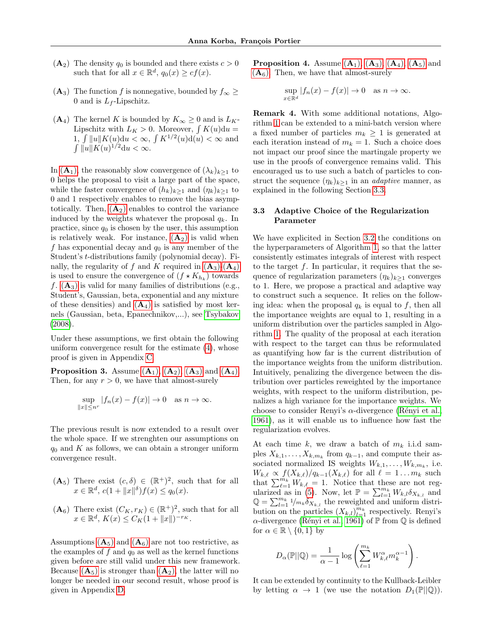- <span id="page-4-0"></span> $(A_2)$  The density  $q_0$  is bounded and there exists  $c > 0$ such that for all  $x \in \mathbb{R}^d$ ,  $q_0(x) \geq cf(x)$ .
- <span id="page-4-1"></span> $(A_3)$  The function f is nonnegative, bounded by  $f_{\infty} \ge$ 0 and is  $L_f$ -Lipschitz.
- <span id="page-4-2"></span> $(A_4)$  The kernel K is bounded by  $K_{\infty} \geq 0$  and is  $L_K$ -Lipschitz with  $L_K > 0$ . Moreover,  $\int K(u) \, du =$  $1, \int ||u|| K(u) \mathrm{d}u < \infty, \int K^{1/2}(u) \mathrm{d}(u) < \infty$  and  $\int \|\mu\| K(u)^{1/2} \mathrm{d}u < \infty.$

In  $(A_1)$  $(A_1)$  $(A_1)$ , the reasonably slow convergence of  $(\lambda_k)_{k>1}$  to 0 helps the proposal to visit a large part of the space, while the faster convergence of  $(h_k)_{k>1}$  and  $(\eta_k)_{k>1}$  to 0 and 1 respectively enables to remove the bias asymptotically. Then,  $(A_2)$  $(A_2)$  $(A_2)$  enables to control the variance induced by the weights whatever the proposal  $q_k$ . In practice, since  $q_0$  is chosen by the user, this assumption is relatively weak. For instance,  $(A_2)$  $(A_2)$  $(A_2)$  is valid when f has exponential decay and  $q_0$  is any member of the Student's t-distributions family (polynomial decay). Finally, the regularity of f and K required in  $(A_3)$  $(A_3)$  $(A_3)$ - $(A_4)$ is used to ensure the convergence of  $(f \star K_{h_k})$  towards f.  $(A_3)$  $(A_3)$  $(A_3)$  is valid for many families of distributions (e.g., Student's, Gaussian, beta, exponential and any mixture of these densities) and  $(A_4)$  $(A_4)$  $(A_4)$  is satisfied by most kernels (Gaussian, beta, Epanechnikov,...), see [Tsybakov](#page-10-4) [\(2008\)](#page-10-4).

Under these assumptions, we first obtain the following uniform convergence result for the estimate [\(4\)](#page-2-3), whose proof is given in Appendix [C.](#page-14-0)

<span id="page-4-7"></span>**Proposition 3.** [A](#page-4-2)ssume  $(A_1)$ ,  $(A_2)$ ,  $(A_3)$  and  $(A_4)$ . Then, for any  $r > 0$ , we have that almost-surely

$$
\sup_{\|x\| \le n^r} |f_n(x) - f(x)| \to 0 \quad \text{as } n \to \infty.
$$

The previous result is now extended to a result over the whole space. If we strenghten our assumptions on  $q_0$  and K as follows, we can obtain a stronger uniform convergence result.

- <span id="page-4-3"></span> $(\mathbf{A}_5)$  There exist  $(c, \delta) \in (\mathbb{R}^+)^2$ , such that for all  $x \in \mathbb{R}^d$ ,  $c(1 + ||x||^{\delta})f(x) \leq q_0(x)$ .
- <span id="page-4-4"></span> $(\mathbf{A}_6)$  There exist  $(C_K, r_K) \in (\mathbb{R}^+)^2$ , such that for all  $x \in \mathbb{R}^d$ ,  $K(x) \leq C_K(1 + ||x||)^{-r_K}$ .

<span id="page-4-8"></span>[A](#page-4-4)ssumptions  $(A_5)$  and  $(A_6)$  are not too restrictive, as the examples of  $f$  and  $q_0$  as well as the kernel functions given before are still valid under this new framework. Because  $(A_5)$  $(A_5)$  $(A_5)$  is stronger than  $(A_2)$ , the latter will no longer be needed in our second result, whose proof is given in Appendix [D.](#page-19-1)

**Proposition 4.** [A](#page-4-3)ssume  $(A_1)$ ,  $(A_3)$ ,  $(A_4)$ ,  $(A_5)$  and  $(A<sub>6</sub>)$  $(A<sub>6</sub>)$  $(A<sub>6</sub>)$ . Then, we have that almost-surely

$$
\sup_{x \in \mathbb{R}^d} |f_n(x) - f(x)| \to 0 \quad \text{as } n \to \infty.
$$

<span id="page-4-6"></span>Remark 4. With some additional notations, Algorithm [1](#page-3-0) can be extended to a mini-batch version where a fixed number of particles  $m_k \geq 1$  is generated at each iteration instead of  $m_k = 1$ . Such a choice does not impact our proof since the martingale property we use in the proofs of convergence remains valid. This encouraged us to use such a batch of particles to construct the sequence  $(\eta_k)_{k>1}$  in an *adaptive* manner, as explained in the following Section [3.3.](#page-4-5)

## <span id="page-4-5"></span>3.3 Adaptive Choice of the Regularization Parameter

We have explicited in Section [3.2](#page-3-3) the conditions on the hyperparameters of Algorithm [1,](#page-3-0) so that the latter consistently estimates integrals of interest with respect to the target  $f$ . In particular, it requires that the sequence of regularization parameters  $(\eta_k)_{k>1}$  converges to 1. Here, we propose a practical and adaptive way to construct such a sequence. It relies on the following idea: when the proposal  $q_k$  is equal to f, then all the importance weights are equal to 1, resulting in a uniform distribution over the particles sampled in Algorithm [1.](#page-3-0) The quality of the proposal at each iteration with respect to the target can thus be reformulated as quantifying how far is the current distribution of the importance weights from the uniform distribution. Intuitively, penalizing the divergence between the distribution over particles reweighted by the importance weights, with respect to the uniform distribution, penalizes a high variance for the importance weights. We choose to consider Renyi's  $\alpha$ -divergence (Rényi et al., [1961\)](#page-9-19), as it will enable us to influence how fast the regularization evolves.

At each time k, we draw a batch of  $m_k$  i.i.d samples  $X_{k,1}, \ldots, X_{k,m_k}$  from  $q_{k-1}$ , and compute their associated normalized IS weights  $W_{k,1}, \ldots, W_{k,m_k}$ , i.e.  $W_{k,\ell} \propto f(X_{k,\ell})/q_{k-1}(X_{k,\ell})$  for all  $\ell = 1 \ldots m_k$  such that  $\sum_{\ell=1}^{m_k} W_{k,\ell} = 1$ . Notice that these are not reg-ularized as in [\(5\)](#page-3-4). Now, let  $\mathbb{P} = \sum_{l=1}^{m_k} W_{k,l} \delta_{X_{k,l}}$  and  $\mathbb{Q} = \sum_{l=1}^{m_k} 1/m_k \delta_{X_{k,l}}$  the reweighted and uniform distribution on the particles  $(X_{k,l})_{l=1}^{m_k}$  respectively. Renyi's  $\alpha$ -divergence (Rényi et al., 1961) of P from Q is defined for  $\alpha \in \mathbb{R} \setminus \{0,1\}$  by

$$
D_{\alpha}(\mathbb{P}||\mathbb{Q}) = \frac{1}{\alpha - 1} \log \left( \sum_{\ell=1}^{m_k} W_{k,\ell}^{\alpha} m_k^{\alpha - 1} \right).
$$

It can be extended by continuity to the Kullback-Leibler by letting  $\alpha \to 1$  (we use the notation  $D_1(\mathbb{P}||\mathbb{Q})$ ).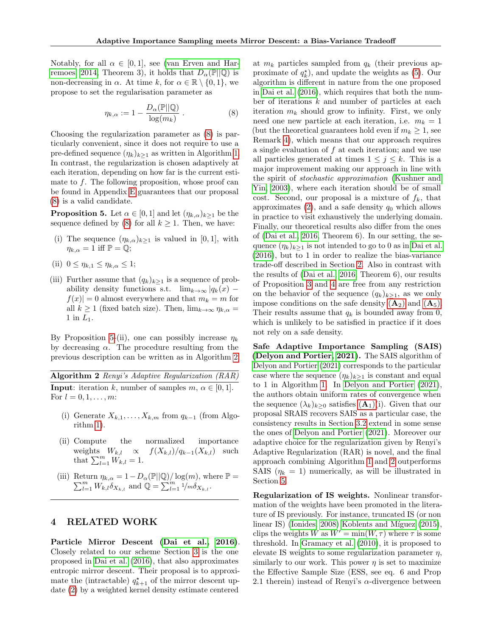Notably, for all  $\alpha \in [0,1]$ , see [\(van Erven and Har](#page-10-5)[remoes, 2014,](#page-10-5) Theorem 3), it holds that  $D_{\alpha}(\mathbb{P}||\mathbb{Q})$  is non-decreasing in  $\alpha$ . At time k, for  $\alpha \in \mathbb{R} \setminus \{0, 1\}$ , we propose to set the regularisation parameter as

<span id="page-5-0"></span>
$$
\eta_{k,\alpha} := 1 - \frac{D_{\alpha}(\mathbb{P}||\mathbb{Q})}{\log(m_k)} . \tag{8}
$$

Choosing the regularization parameter as [\(8\)](#page-5-0) is particularly convenient, since it does not require to use a pre-defined sequence  $(\eta_k)_{k\geq 1}$  as written in Algorithm [1.](#page-3-0) In contrast, the regularization is chosen adaptively at each iteration, depending on how far is the current estimate to  $f$ . The following proposition, whose proof can be found in Appendix [E](#page-22-0) guarantees that our proposal [\(8\)](#page-5-0) is a valid candidate.

<span id="page-5-1"></span>**Proposition 5.** Let  $\alpha \in [0,1]$  and let  $(\eta_{k,\alpha})_{k\geq 1}$  be the sequence defined by [\(8\)](#page-5-0) for all  $k \geq 1$ . Then, we have:

- (i) The sequence  $(\eta_{k,\alpha})_{k\geq 1}$  is valued in [0, 1], with  $\eta_{k,\alpha} = 1$  iff  $\mathbb{P} = \mathbb{Q};$
- (ii)  $0 \leq \eta_{k,1} \leq \eta_{k,\alpha} \leq 1;$
- (iii) Further assume that  $(q_k)_{k\geq 1}$  is a sequence of probability density functions s.t.  $\lim_{k\to\infty} |q_k(x)|$  $|f(x)| = 0$  almost everywhere and that  $m_k = m$  for all  $k \ge 1$  (fixed batch size). Then,  $\lim_{k \to \infty} \eta_{k,\alpha} =$ 1 in  $L_1$ .

By Proposition [5-](#page-5-1)(ii), one can possibly increase  $\eta_k$ by decreasing  $\alpha$ . The procedure resulting from the previous description can be written as in Algorithm [2.](#page-5-2)

<span id="page-5-2"></span>Algorithm 2 Renyi's Adaptive Regularization (RAR) **Input:** iteration k, number of samples  $m, \alpha \in [0, 1]$ . For  $l = 0, 1, ..., m$ :

- (i) Generate  $X_{k,1}, \ldots, X_{k,m}$  from  $q_{k-1}$  (from Algorithm [1\)](#page-3-0).
- (ii) Compute the normalized importance weights  $W_{k,l} \propto f(X_{k,l})/q_{k-1}(X_{k,l})$  such that  $\sum_{l=1}^m W_{k,l} = 1$ .
- (iii) Return  $\eta_{k,\alpha} = 1 D_{\alpha}(\mathbb{P}||\mathbb{Q})/\log(m)$ , where  $\mathbb{P} =$  $\sum_{l=1}^{m} W_{k,l} \delta_{X_{k,l}}$  and  $\mathbb{Q} = \sum_{l=1}^{m} \frac{1}{m} \delta_{X_{k,l}}$ .

# 4 RELATED WORK

Particle Mirror Descent [\(Dai et al., 2016\)](#page-8-8). Closely related to our scheme Section [3](#page-2-0) is the one proposed in [Dai et al. \(2016\)](#page-8-8), that also approximates entropic mirror descent. Their proposal is to approximate the (intractable)  $q_{k+1}^*$  of the mirror descent update [\(2\)](#page-2-1) by a weighted kernel density estimate centered

at  $m_k$  particles sampled from  $q_k$  (their previous approximate of  $q_k^*$ ), and update the weights as [\(5\)](#page-3-4). Our algorithm is different in nature from the one proposed in [Dai et al. \(2016\)](#page-8-8), which requires that both the number of iterations  $k$  and number of particles at each iteration  $m_k$  should grow to infinity. First, we only need one new particle at each iteration, i.e.  $m_k = 1$ (but the theoretical guarantees hold even if  $m_k \geq 1$ , see Remark [4\)](#page-4-6), which means that our approach requires a single evaluation of  $f$  at each iteration; and we use all particles generated at times  $1 \leq j \leq k$ . This is a major improvement making our approach in line with the spirit of stochastic approximation [\(Kushner and](#page-9-20) [Yin, 2003\)](#page-9-20), where each iteration should be of small cost. Second, our proposal is a mixture of  $f_k$ , that approximates  $(2)$ , and a safe density  $q_0$  which allows in practice to visit exhaustively the underlying domain. Finally, our theoretical results also differ from the ones of [\(Dai et al., 2016,](#page-8-8) Theorem 6). In our setting, the sequence  $(\eta_k)_{k>1}$  is not intended to go to 0 as in [Dai et al.](#page-8-8) [\(2016\)](#page-8-8), but to 1 in order to realize the bias-variance trade-off described in Section [2.](#page-1-0) Also in contrast with the results of [\(Dai et al., 2016,](#page-8-8) Theorem 6), our results of Proposition [3](#page-4-7) and [4](#page-4-8) are free from any restriction on the behavior of the sequence  $(q_k)_{k>1}$ , as we only impose conditions on the safe density  $(A_2)$  $(A_2)$  $(A_2)$  and  $(A_5)$ . Their results assume that  $q_k$  is bounded away from 0, which is unlikely to be satisfied in practice if it does not rely on a safe density.

Safe Adaptive Importance Sampling (SAIS) [\(Delyon and Portier, 2021\)](#page-8-9). The SAIS algorithm of [Delyon and Portier \(2021\)](#page-8-9) corresponds to the particular case where the sequence  $(\eta_k)_{k>1}$  is constant and equal to 1 in Algorithm [1.](#page-3-0) In [Delyon and Portier \(2021\)](#page-8-9), the authors obtain uniform rates of convergence when the sequence  $(\lambda_k)_{k>0}$  satisfies  $(\mathbf{A}_1)(i)$  $(\mathbf{A}_1)(i)$  $(\mathbf{A}_1)(i)$ . Given that our proposal SRAIS recovers SAIS as a particular case, the consistency results in Section [3.2](#page-3-3) extend in some sense the ones of [Delyon and Portier \(2021\)](#page-8-9). Moreover our adaptive choice for the regularization given by Renyi's Adaptive Regularization (RAR) is novel, and the final approach combining Algorithm [1](#page-3-0) and [2](#page-5-2) outperforms SAIS  $(\eta_k = 1)$  numerically, as will be illustrated in Section [5.](#page-6-0)

Regularization of IS weights. Nonlinear transformation of the weights have been promoted in the literature of IS previously. For instance, truncated IS (or non linear IS) [\(Ionides, 2008\)](#page-9-21) Koblents and Míguez  $(2015)$ , clips the weights W as  $W' = \min(W, \tau)$  where  $\tau$  is some threshold. In [Gramacy et al. \(2010\)](#page-9-23), it is proposed to elevate IS weights to some regularization parameter  $\eta$ , similarly to our work. This power  $\eta$  is set to maximize the Effective Sample Size (ESS, see eq. 6 and Prop 2.1 therein) instead of Renyi's  $\alpha$ -divergence between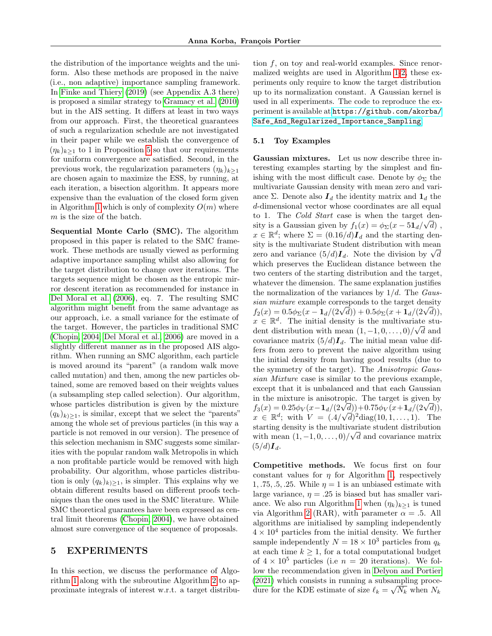the distribution of the importance weights and the uniform. Also these methods are proposed in the naive (i.e., non adaptive) importance sampling framework. In [Finke and Thiery \(2019\)](#page-9-24) (see Appendix A.3 there) is proposed a similar strategy to [Gramacy et al. \(2010\)](#page-9-23) but in the AIS setting. It differs at least in two ways from our approach. First, the theoretical guarantees of such a regularization schedule are not investigated in their paper while we establish the convergence of  $(\eta_k)_{k\geq 1}$  to 1 in Proposition [5](#page-5-1) so that our requirements for uniform convergence are satisfied. Second, in the previous work, the regularization parameters  $(\eta_k)_{k\geq 1}$ are chosen again to maximize the ESS, by running, at each iteration, a bisection algorithm. It appears more expensive than the evaluation of the closed form given in Algorithm [1](#page-3-0) which is only of complexity  $O(m)$  where m is the size of the batch.

Sequential Monte Carlo (SMC). The algorithm proposed in this paper is related to the SMC framework. These methods are usually viewed as performing adaptive importance sampling whilst also allowing for the target distribution to change over iterations. The targets sequence might be chosen as the entropic mirror descent iteration as recommended for instance in [Del Moral et al. \(2006\)](#page-8-13), eq. 7. The resulting SMC algorithm might benefit from the same advantage as our approach, i.e. a small variance for the estimate of the target. However, the particles in traditional SMC [\(Chopin, 2004;](#page-8-14) [Del Moral et al., 2006\)](#page-8-13) are moved in a slightly different manner as in the proposed AIS algorithm. When running an SMC algorithm, each particle is moved around its "parent" (a random walk move called mutation) and then, among the new particles obtained, some are removed based on their weights values (a subsampling step called selection). Our algorithm, whose particles distribution is given by the mixture  $(q_k)_{k\geq 1}$ , is similar, except that we select the "parents" among the whole set of previous particles (in this way a particle is not removed in our version). The presence of this selection mechanism in SMC suggests some similarities with the popular random walk Metropolis in which a non profitable particle would be removed with high probability. Our algorithm, whose particles distribution is only  $(q_k)_{k\geq 1}$ , is simpler. This explains why we obtain different results based on different proofs techniques than the ones used in the SMC literature. While SMC theoretical guarantees have been expressed as central limit theorems [\(Chopin, 2004\)](#page-8-14), we have obtained almost sure convergence of the sequence of proposals.

## <span id="page-6-0"></span>5 EXPERIMENTS

In this section, we discuss the performance of Algorithm [1](#page-3-0) along with the subroutine Algorithm [2](#page-5-2) to approximate integrals of interest w.r.t. a target distribu-

tion f, on toy and real-world examples. Since renormalized weights are used in Algorithm [1](#page-3-0)[-2,](#page-5-2) these experiments only require to know the target distribution up to its normalization constant. A Gaussian kernel is used in all experiments. The code to reproduce the experiment is available at [https://github.com/akorba/](https://github.com/akorba/Safe_And_Regularized_Importance_Sampling) [Safe\\_And\\_Regularized\\_Importance\\_Sampling](https://github.com/akorba/Safe_And_Regularized_Importance_Sampling).

## 5.1 Toy Examples

Gaussian mixtures. Let us now describe three interesting examples starting by the simplest and finishing with the most difficult case. Denote by  $\phi_{\Sigma}$  the multivariate Gaussian density with mean zero and variance Σ. Denote also  $I_d$  the identity matrix and  $\mathbf{1}_d$  the d-dimensional vector whose coordinates are all equal to 1. The Cold Start case is when the target density is a Gaussian given by  $f_1(x) = \phi_{\Sigma}(x - 51_d/\sqrt{d})$ ,  $x \in \mathbb{R}^d$ ; where  $\Sigma = (0.16/d)\mathbf{I}_d$  and the starting density is the multivariate Student distribution with mean zero and variance  $(5/d)I_d$ . Note the division by  $\sqrt{d}$ which preserves the Euclidean distance between the two centers of the starting distribution and the target, whatever the dimension. The same explanation justifies the normalization of the variances by  $1/d$ . The Gaussian mixture example corresponds to the target density  $f_2(x) = 0.5\phi_{\Sigma}(x - \mathbf{1}_d/(2\sqrt{d})) + 0.5\phi_{\Sigma}(x + \mathbf{1}_d/(2\sqrt{d})),$  $x \in \mathbb{R}^d$ . The initial density is the multivariate student distribution with mean  $(1, -1, 0, \ldots, 0)/\sqrt{d}$  and covariance matrix  $(5/d)I_d$ . The initial mean value differs from zero to prevent the naive algorithm using the initial density from having good results (due to the symmetry of the target). The Anisotropic Gaussian Mixture case is similar to the previous example, except that it is unbalanced and that each Gaussian in the mixture is anisotropic. The target is given by  $f_3(x) = 0.25 \phi_V(x - \mathbf{1}_d/(2\sqrt{d})) + 0.75 \phi_V(x + \mathbf{1}_d/(2\sqrt{d})),$  $x \in \mathbb{R}^d$ ; with  $V = (0.4/\sqrt{d})^2 \text{diag}(10, 1, \dots, 1)$ . The starting density is the multivariate student distribution with mean  $(1, -1, 0, \ldots, 0)/\sqrt{d}$  and covariance matrix  $(5/d)\mathbf{I}_d$ .

Competitive methods. We focus first on four constant values for  $\eta$  for Algorithm [1,](#page-3-0) respectively 1, .75, .5, .25. While  $\eta = 1$  is an unbiased estimate with large variance,  $\eta = .25$  is biased but has smaller vari-ance. We also run Algorithm [1](#page-3-0) when  $(\eta_k)_{k\geq 1}$  is tuned via Algorithm [2](#page-5-2) (RAR), with parameter  $\alpha = .5$ . All algorithms are initialised by sampling independently  $4 \times 10^4$  particles from the initial density. We further sample independently  $N = 18 \times 10^3$  particles from  $q_k$ at each time  $k \geq 1$ , for a total computational budget of  $4 \times 10^5$  particles (i.e  $n = 20$  iterations). We follow the recommendation given in [Delyon and Portier](#page-8-9) [\(2021\)](#page-8-9) which consists in running a subsampling procedure for the KDE estimate of size  $\ell_k = \sqrt{N_k}$  when  $N_k$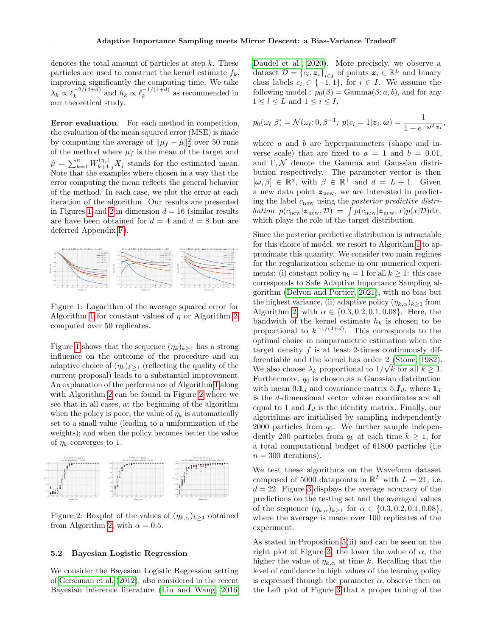denotes the total amount of particles at step  $k$ . These particles are used to construct the kernel estimate  $f_k$ , improving significantly the computing time. We take  $\lambda_k \propto \ell_k^{-2/(4+d)}$  $\int_{k}^{-2/(4+d)}$  and  $h_k \propto \ell_k^{-1/(4+d)}$  $\frac{(-1)^{4+a}}{k}$  as recommended in our theoretical study.

Error evaluation. For each method in competition, the evaluation of the mean squared error (MSE) is made by computing the average of  $\|\mu_f - \hat{\mu}\|_2^2$  over 50 runs of the method where  $\mu_f$  is the mean of the target and  $\hat{\mu} = \sum_{k=1}^{n} W_{k+1,j}^{(\eta_j)} X_j$  stands for the estimated mean. Note that the examples where chosen in a way that the error computing the mean reflects the general behavior of the method. In each case, we plot the error at each iteration of the algorithm. Our results are presented in Figures [1](#page-7-0) and [2](#page-7-1) in dimension  $d = 16$  (similar results are have been obtained for  $d = 4$  and  $d = 8$  but are deferred Appendix [F\)](#page-23-0).

<span id="page-7-0"></span>

Figure 1: Logarithm of the average squared error for Algorithm [1](#page-3-0) for constant values of  $\eta$  or Algorithm [2,](#page-5-2) computed over 50 replicates.

Figure [1](#page-7-0) shows that the sequence  $(\eta_k)_{k\geq 1}$  has a strong influence on the outcome of the procedure and an adaptive choice of  $(\eta_k)_{k>1}$  (reflecting the quality of the current proposal) leads to a substantial improvement. An explanation of the performance of Algorithm [1](#page-3-0) along with Algorithm [2](#page-5-2) can be found in Figure [2](#page-7-1) where we see that in all cases, at the beginning of the algorithm when the policy is poor, the value of  $\eta_k$  is automatically set to a small value (leading to a uniformization of the weights); and when the policy becomes better the value of  $\eta_k$  converges to 1.

<span id="page-7-1"></span>

Figure 2: Boxplot of the values of  $(\eta_{k,\alpha})_{k\geq 1}$  obtained from Algorithm [2,](#page-5-2) with  $\alpha = 0.5$ .

### 5.2 Bayesian Logistic Regression

We consider the Bayesian Logistic Regression setting of [Gershman et al. \(2012\)](#page-9-25), also considered in the recent Bayesian inference literature [\(Liu and Wang, 2016;](#page-9-26) [Daudel et al., 2020\)](#page-8-11). More precisely, we observe a dataset  $\mathcal{D} = \{c_i, z_i\}_{i \in I}$  of points  $z_i \in \mathbb{R}^L$  and binary class labels  $c_i \in \{-1,1\}$ , for  $i \in I$ . We assume the following model :  $p_0(\beta) = \text{Gamma}(\beta; a, b)$ , and for any  $1 \leq l \leq L$  and  $1 \leq i \leq I$ ,

$$
p_0(\omega_\ell|\beta) = \mathcal{N}(\omega_\ell; 0, \beta^{-1}, p(c_i = 1|\boldsymbol{z}_i, \boldsymbol{\omega}) = \frac{1}{1 + e^{-\boldsymbol{\omega}^T \boldsymbol{z}_i}},
$$

where  $a$  and  $b$  are hyperparameters (shape and inverse scale) that are fixed to  $a = 1$  and  $b = 0.01$ , and  $\Gamma, \mathcal{N}$  denote the Gamma and Gaussian distribution respectively. The parameter vector is then  $[\omega, \beta] \in \mathbb{R}^d$ , with  $\beta \in \mathbb{R}^+$  and  $d = L + 1$ . Given a new data point  $z<sub>new</sub>$ , we are interested in predicting the label  $c_{\text{new}}$  using the *posterior predictive distri*bution  $p(c_{\text{new}}|z_{\text{new}}, \mathcal{D}) = \int p(c_{\text{new}}|z_{\text{new}}, x)p(x|\mathcal{D})dx$ , which plays the role of the target distribution.

Since the posterior predictive distribution is intractable for this choice of model, we resort to Algorithm [1](#page-3-0) to approximate this quantity. We consider two main regimes for the regularization scheme in our numerical experiments: (i) constant policy  $\eta_k = 1$  for all  $k \geq 1$ : this case corresponds to Safe Adaptive Importance Sampling algorithm [\(Delyon and Portier, 2021\)](#page-8-9), with no bias but the highest variance, (ii) adaptive policy  $(\eta_{k,\alpha})_{k\geq 1}$  from Algorithm [2,](#page-5-2) with  $\alpha \in \{0.3, 0.2, 0.1, 0.08\}$ . Here, the bandwith of the kernel estimate  $h_k$  is chosen to be proportional to  $k^{-1/(4+d)}$ . This corresponds to the optimal choice in nonparametric estimation when the target density  $f$  is at least 2-times continuously differentiable and the kernel has order 2 [\(Stone, 1982\)](#page-10-6). We also choose  $\lambda_k$  proportional to  $1/\sqrt{k}$  for all  $k \ge 1$ . Furthermore,  $q_0$  is chosen as a Gaussian distribution with mean  $0.1<sub>d</sub>$  and covariance matrix  $5.\mathbf{I}_d$ , where  $1<sub>d</sub>$ is the d-dimensional vector whose coordinates are all equal to 1 and  $I_d$  is the identity matrix. Finally, our algorithms are initialised by sampling independently 2000 particles from  $q_0$ . We further sample independently 200 particles from  $q_k$  at each time  $k \geq 1$ , for a total computational budget of 61800 particles (i.e  $n = 300$  iterations).

We test these algorithms on the Waveform dataset composed of 5000 datapoints in  $\mathbb{R}^L$  with  $L = 21$ , i.e.  $d = 22$ . Figure [3](#page-8-15) displays the average accuracy of the predictions on the testing set and the averaged values of the sequence  $(\eta_{k,\alpha})_{k\geq 1}$  for  $\alpha \in \{0.3, 0.2, 0.1, 0.08\},\$ where the average is made over 100 replicates of the experiment.

As stated in Proposition [5\(](#page-5-1)ii) and can be seen on the right plot of Figure [3,](#page-8-15) the lower the value of  $\alpha$ , the higher the value of  $\eta_{k,\alpha}$  at time k. Recalling that the level of confidence in high values of the learning policy is expressed through the parameter  $\alpha$ , observe then on the Left plot of Figure [3](#page-8-15) that a proper tuning of the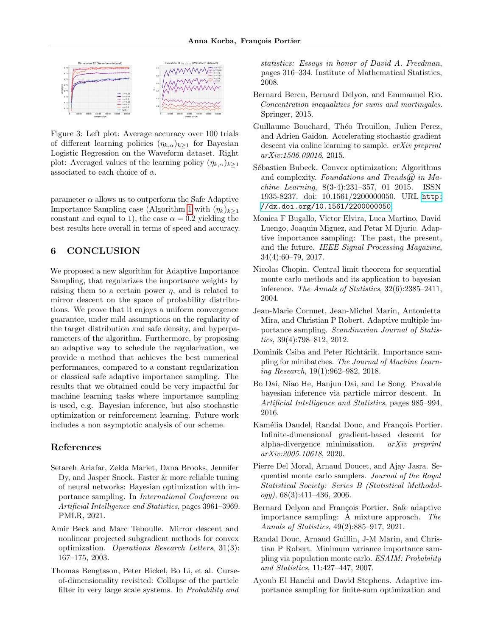<span id="page-8-15"></span>

Figure 3: Left plot: Average accuracy over 100 trials of different learning policies  $(\eta_{k,\alpha})_{k\geq 1}$  for Bayesian Logistic Regression on the Waveform dataset. Right plot: Averaged values of the learning policy  $(\eta_{k,\alpha})_{k\geq 1}$ associated to each choice of  $\alpha$ .

parameter  $\alpha$  allows us to outperform the Safe Adaptive Importance Sampling case (Algorithm [1](#page-3-0) with  $(\eta_k)_{k\geq 1}$ constant and equal to 1), the case  $\alpha = 0.2$  yielding the best results here overall in terms of speed and accuracy.

# 6 CONCLUSION

We proposed a new algorithm for Adaptive Importance Sampling, that regularizes the importance weights by raising them to a certain power  $\eta$ , and is related to mirror descent on the space of probability distributions. We prove that it enjoys a uniform convergence guarantee, under mild assumptions on the regularity of the target distribution and safe density, and hyperparameters of the algorithm. Furthermore, by proposing an adaptive way to schedule the regularization, we provide a method that achieves the best numerical performances, compared to a constant regularization or classical safe adaptive importance sampling. The results that we obtained could be very impactful for machine learning tasks where importance sampling is used, e.g. Bayesian inference, but also stochastic optimization or reinforcement learning. Future work includes a non asymptotic analysis of our scheme.

# References

- <span id="page-8-3"></span>Setareh Ariafar, Zelda Mariet, Dana Brooks, Jennifer Dy, and Jasper Snoek. Faster & more reliable tuning of neural networks: Bayesian optimization with importance sampling. In International Conference on Artificial Intelligence and Statistics, pages 3961–3969. PMLR, 2021.
- <span id="page-8-10"></span>Amir Beck and Marc Teboulle. Mirror descent and nonlinear projected subgradient methods for convex optimization. Operations Research Letters, 31(3): 167–175, 2003.
- <span id="page-8-5"></span>Thomas Bengtsson, Peter Bickel, Bo Li, et al. Curseof-dimensionality revisited: Collapse of the particle filter in very large scale systems. In Probability and

statistics: Essays in honor of David A. Freedman, pages 316–334. Institute of Mathematical Statistics, 2008.

- <span id="page-8-12"></span>Bernard Bercu, Bernard Delyon, and Emmanuel Rio. Concentration inequalities for sums and martingales. Springer, 2015.
- <span id="page-8-1"></span>Guillaume Bouchard, Théo Trouillon, Julien Perez, and Adrien Gaidon. Accelerating stochastic gradient descent via online learning to sample. *arXiv preprint* arXiv:1506.09016, 2015.
- <span id="page-8-16"></span>Sébastien Bubeck. Convex optimization: Algorithms and complexity. Foundations and Trends $\widehat{R}$  in Machine Learning, 8(3-4):231–357, 01 2015. ISSN 1935-8237. doi: 10.1561/2200000050. URL [http:](http://dx.doi.org/10.1561/2200000050) [//dx.doi.org/10.1561/2200000050](http://dx.doi.org/10.1561/2200000050).
- <span id="page-8-7"></span>Monica F Bugallo, Victor Elvira, Luca Martino, David Luengo, Joaquin Miguez, and Petar M Djuric. Adaptive importance sampling: The past, the present, and the future. IEEE Signal Processing Magazine, 34(4):60–79, 2017.
- <span id="page-8-14"></span>Nicolas Chopin. Central limit theorem for sequential monte carlo methods and its application to bayesian inference. The Annals of Statistics, 32(6):2385–2411, 2004.
- <span id="page-8-4"></span>Jean-Marie Cornuet, Jean-Michel Marin, Antonietta Mira, and Christian P Robert. Adaptive multiple importance sampling. Scandinavian Journal of Statistics, 39(4):798–812, 2012.
- <span id="page-8-2"></span>Dominik Csiba and Peter Richtárik. Importance sampling for minibatches. The Journal of Machine Learning Research, 19(1):962–982, 2018.
- <span id="page-8-8"></span>Bo Dai, Niao He, Hanjun Dai, and Le Song. Provable bayesian inference via particle mirror descent. In Artificial Intelligence and Statistics, pages 985–994, 2016.
- <span id="page-8-11"></span>Kamélia Daudel, Randal Douc, and François Portier. Infinite-dimensional gradient-based descent for alpha-divergence minimisation. arXiv preprint arXiv:2005.10618, 2020.
- <span id="page-8-13"></span>Pierre Del Moral, Arnaud Doucet, and Ajay Jasra. Sequential monte carlo samplers. Journal of the Royal Statistical Society: Series B (Statistical Methodol $ogy$ , 68(3):411-436, 2006.
- <span id="page-8-9"></span>Bernard Delyon and François Portier. Safe adaptive importance sampling: A mixture approach. The Annals of Statistics, 49(2):885–917, 2021.
- <span id="page-8-6"></span>Randal Douc, Arnaud Guillin, J-M Marin, and Christian P Robert. Minimum variance importance sampling via population monte carlo. ESAIM: Probability and Statistics, 11:427–447, 2007.
- <span id="page-8-0"></span>Ayoub El Hanchi and David Stephens. Adaptive importance sampling for finite-sum optimization and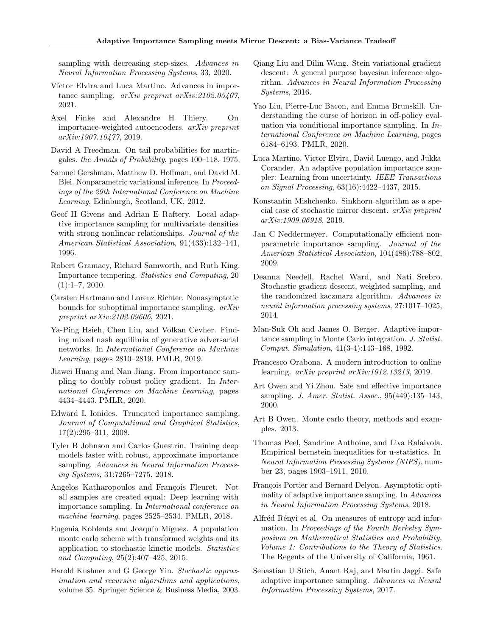sampling with decreasing step-sizes. Advances in Neural Information Processing Systems, 33, 2020.

- <span id="page-9-13"></span>Víctor Elvira and Luca Martino. Advances in importance sampling. arXiv preprint arXiv:2102.05407, 2021.
- <span id="page-9-24"></span>Axel Finke and Alexandre H Thiery. On importance-weighted autoencoders. arXiv preprint arXiv:1907.10477, 2019.
- <span id="page-9-18"></span>David A Freedman. On tail probabilities for martingales. the Annals of Probability, pages 100–118, 1975.
- <span id="page-9-25"></span>Samuel Gershman, Matthew D. Hoffman, and David M. Blei. Nonparametric variational inference. In Proceedings of the 29th International Conference on Machine Learning, Edinburgh, Scotland, UK, 2012.
- <span id="page-9-7"></span>Geof H Givens and Adrian E Raftery. Local adaptive importance sampling for multivariate densities with strong nonlinear relationships. Journal of the American Statistical Association, 91(433):132–141, 1996.
- <span id="page-9-23"></span>Robert Gramacy, Richard Samworth, and Ruth King. Importance tempering. Statistics and Computing, 20  $(1):1-7, 2010.$
- <span id="page-9-11"></span>Carsten Hartmann and Lorenz Richter. Nonasymptotic bounds for suboptimal importance sampling. arXiv preprint arXiv:2102.09606, 2021.
- <span id="page-9-17"></span>Ya-Ping Hsieh, Chen Liu, and Volkan Cevher. Finding mixed nash equilibria of generative adversarial networks. In International Conference on Machine Learning, pages 2810–2819. PMLR, 2019.
- <span id="page-9-4"></span>Jiawei Huang and Nan Jiang. From importance sampling to doubly robust policy gradient. In International Conference on Machine Learning, pages 4434–4443. PMLR, 2020.
- <span id="page-9-21"></span>Edward L Ionides. Truncated importance sampling. Journal of Computational and Graphical Statistics, 17(2):295–311, 2008.
- <span id="page-9-3"></span>Tyler B Johnson and Carlos Guestrin. Training deep models faster with robust, approximate importance sampling. Advances in Neural Information Processing Systems, 31:7265–7275, 2018.
- <span id="page-9-2"></span>Angelos Katharopoulos and François Fleuret. Not all samples are created equal: Deep learning with importance sampling. In International conference on machine learning, pages 2525–2534. PMLR, 2018.
- <span id="page-9-22"></span>Eugenia Koblents and Joaquín Míguez. A population monte carlo scheme with transformed weights and its application to stochastic kinetic models. Statistics and Computing, 25(2):407–425, 2015.
- <span id="page-9-20"></span>Harold Kushner and G George Yin. Stochastic approximation and recursive algorithms and applications, volume 35. Springer Science & Business Media, 2003.
- <span id="page-9-26"></span>Qiang Liu and Dilin Wang. Stein variational gradient descent: A general purpose bayesian inference algorithm. Advances in Neural Information Processing Systems, 2016.
- <span id="page-9-5"></span>Yao Liu, Pierre-Luc Bacon, and Emma Brunskill. Understanding the curse of horizon in off-policy evaluation via conditional importance sampling. In International Conference on Machine Learning, pages 6184–6193. PMLR, 2020.
- <span id="page-9-6"></span>Luca Martino, Victor Elvira, David Luengo, and Jukka Corander. An adaptive population importance sampler: Learning from uncertainty. IEEE Transactions on Signal Processing, 63(16):4422–4437, 2015.
- <span id="page-9-16"></span>Konstantin Mishchenko. Sinkhorn algorithm as a special case of stochastic mirror descent. arXiv preprint arXiv:1909.06918, 2019.
- <span id="page-9-8"></span>Jan C Neddermeyer. Computationally efficient nonparametric importance sampling. Journal of the American Statistical Association, 104(486):788–802, 2009.
- <span id="page-9-0"></span>Deanna Needell, Rachel Ward, and Nati Srebro. Stochastic gradient descent, weighted sampling, and the randomized kaczmarz algorithm. Advances in neural information processing systems, 27:1017–1025, 2014.
- <span id="page-9-9"></span>Man-Suk Oh and James O. Berger. Adaptive importance sampling in Monte Carlo integration. J. Statist. Comput. Simulation, 41(3-4):143–168, 1992.
- <span id="page-9-15"></span>Francesco Orabona. A modern introduction to online learning. arXiv preprint arXiv:1912.13213, 2019.
- <span id="page-9-10"></span>Art Owen and Yi Zhou. Safe and effective importance sampling. J. Amer. Statist. Assoc., 95(449):135–143, 2000.
- <span id="page-9-14"></span>Art B Owen. Monte carlo theory, methods and examples. 2013.
- <span id="page-9-27"></span>Thomas Peel, Sandrine Anthoine, and Liva Ralaivola. Empirical bernstein inequalities for u-statistics. In Neural Information Processing Systems (NIPS), number 23, pages 1903–1911, 2010.
- <span id="page-9-12"></span>François Portier and Bernard Delyon. Asymptotic optimality of adaptive importance sampling. In Advances in Neural Information Processing Systems, 2018.
- <span id="page-9-19"></span>Alfréd Rényi et al. On measures of entropy and information. In Proceedings of the Fourth Berkeley Symposium on Mathematical Statistics and Probability, Volume 1: Contributions to the Theory of Statistics. The Regents of the University of California, 1961.
- <span id="page-9-1"></span>Sebastian U Stich, Anant Raj, and Martin Jaggi. Safe adaptive importance sampling. Advances in Neural Information Processing Systems, 2017.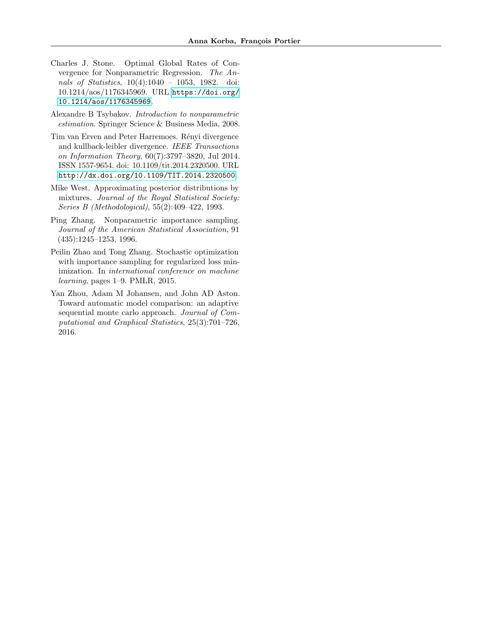- <span id="page-10-6"></span>Charles J. Stone. Optimal Global Rates of Convergence for Nonparametric Regression. The Annals of Statistics, 10(4):1040 - 1053, 1982. doi: 10.1214/aos/1176345969. URL [https://doi.org/](https://doi.org/10.1214/aos/1176345969) [10.1214/aos/1176345969](https://doi.org/10.1214/aos/1176345969).
- <span id="page-10-4"></span>Alexandre B Tsybakov. Introduction to nonparametric estimation. Springer Science & Business Media, 2008.
- <span id="page-10-5"></span>Tim van Erven and Peter Harremoes. Rényi divergence and kullback-leibler divergence. IEEE Transactions on Information Theory, 60(7):3797–3820, Jul 2014. ISSN 1557-9654. doi: 10.1109/tit.2014.2320500. URL <http://dx.doi.org/10.1109/TIT.2014.2320500>.
- <span id="page-10-1"></span>Mike West. Approximating posterior distributions by mixtures. Journal of the Royal Statistical Society: Series B (Methodological), 55(2):409–422, 1993.
- <span id="page-10-2"></span>Ping Zhang. Nonparametric importance sampling. Journal of the American Statistical Association, 91 (435):1245–1253, 1996.
- <span id="page-10-0"></span>Peilin Zhao and Tong Zhang. Stochastic optimization with importance sampling for regularized loss minimization. In international conference on machine learning, pages 1–9. PMLR, 2015.
- <span id="page-10-3"></span>Yan Zhou, Adam M Johansen, and John AD Aston. Toward automatic model comparison: an adaptive sequential monte carlo approach. Journal of Computational and Graphical Statistics, 25(3):701–726, 2016.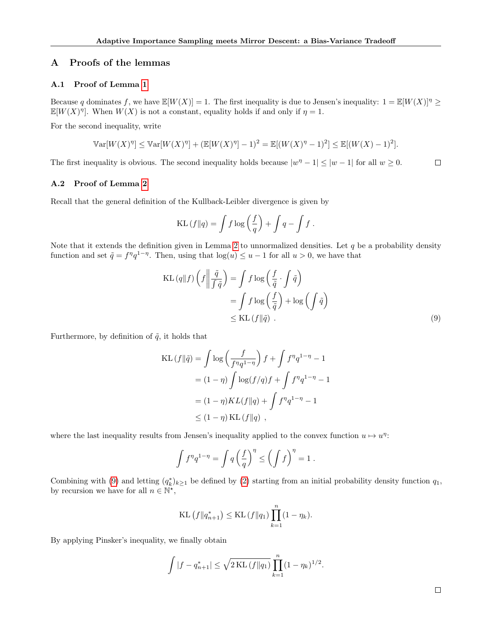# A Proofs of the lemmas

### <span id="page-11-0"></span>A.1 Proof of Lemma [1](#page-1-2)

Because q dominates f, we have  $\mathbb{E}[W(X)] = 1$ . The first inequality is due to Jensen's inequality:  $1 = \mathbb{E}[W(X)]^{\eta} \geq$  $\mathbb{E}[W(X)^{\eta}]$ . When  $W(X)$  is not a constant, equality holds if and only if  $\eta = 1$ .

For the second inequality, write

$$
\mathbb{V}\text{ar}[W(X)^{\eta}] \leq \mathbb{V}\text{ar}[W(X)^{\eta}] + (\mathbb{E}[W(X)^{\eta}] - 1)^2 = \mathbb{E}[(W(X)^{\eta} - 1)^2] \leq \mathbb{E}[(W(X) - 1)^2].
$$

<span id="page-11-1"></span>The first inequality is obvious. The second inequality holds because  $|w^{\eta} - 1| \leq |w - 1|$  for all  $w \geq 0$ .  $\Box$ 

#### A.2 Proof of Lemma [2](#page-2-2)

Recall that the general definition of the Kullback-Leibler divergence is given by

<span id="page-11-2"></span>
$$
KL(f||q) = \int f \log\left(\frac{f}{q}\right) + \int q - \int f.
$$

Note that it extends the definition given in Lemma [2](#page-2-2) to unnormalized densities. Let  $q$  be a probability density function and set  $\tilde{q} = f^{\eta}q^{1-\eta}$ . Then, using that  $\log(u) \leq u - 1$  for all  $u > 0$ , we have that

$$
KL (q||f) \left( f \left\| \frac{\tilde{q}}{\int \tilde{q}} \right) \right) = \int f \log \left( \frac{f}{\tilde{q}} \cdot \int \tilde{q} \right)
$$
  
= 
$$
\int f \log \left( \frac{f}{\tilde{q}} \right) + \log \left( \int \tilde{q} \right)
$$
  
\$\leq \text{KL}(f||\tilde{q}) .\$ (9)

Furthermore, by definition of  $\tilde{q}$ , it holds that

$$
\begin{aligned} \text{KL}\left(f\|\tilde{q}\right) &= \int \log\left(\frac{f}{f^{\eta}q^{1-\eta}}\right)f + \int f^{\eta}q^{1-\eta} - 1 \\ &= (1-\eta)\int \log(f/q)f + \int f^{\eta}q^{1-\eta} - 1 \\ &= (1-\eta)KL(f\|q) + \int f^{\eta}q^{1-\eta} - 1 \\ &\leq (1-\eta)\text{KL}\left(f\|q\right) \;, \end{aligned}
$$

where the last inequality results from Jensen's inequality applied to the convex function  $u \mapsto u^{\eta}$ :

$$
\int f^{\eta} q^{1-\eta} = \int q \left(\frac{f}{q}\right)^{\eta} \le \left(\int f\right)^{\eta} = 1.
$$

Combining with [\(9\)](#page-11-2) and letting  $(q_k^*)_{k\geq 1}$  be defined by [\(2\)](#page-2-1) starting from an initial probability density function  $q_1$ , by recursion we have for all  $n \in \mathbb{N}^*$ ,

KL 
$$
(f||q_{n+1}^*) \leq KL(f||q_1) \prod_{k=1}^n (1 - \eta_k).
$$

By applying Pinsker's inequality, we finally obtain

$$
\int |f - q_{n+1}^{*}| \leq \sqrt{2 \text{ KL}(f||q_1)} \prod_{k=1}^{n} (1 - \eta_k)^{1/2}.
$$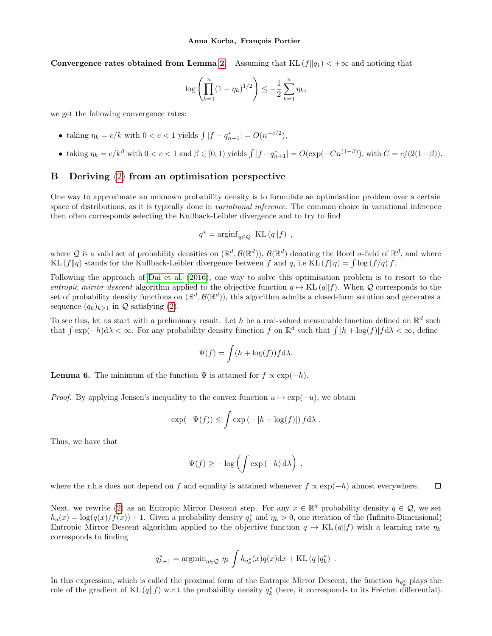Convergence rates obtained from Lemma [2.](#page-2-2) Assuming that  $KL(f||q_1) < +\infty$  and noticing that

$$
\log \left( \prod_{k=1}^{n} (1 - \eta_k)^{1/2} \right) \leq -\frac{1}{2} \sum_{k=1}^{n} \eta_k,
$$

we get the following convergence rates:

- taking  $\eta_k = c/k$  with  $0 < c < 1$  yields  $\int |f q_{n+1}^*| = O(n^{-c/2}),$
- taking  $\eta_k = c/k^{\beta}$  with  $0 < c < 1$  and  $\beta \in [0, 1)$  yields  $\int |f q_{n+1}^*| = O(\exp(-Cn^{(1-\beta)})$ , with  $C = c/(2(1-\beta))$ .

# <span id="page-12-0"></span>B Deriving [\(2\)](#page-2-1) from an optimisation perspective

One way to approximate an unknown probability density is to formulate an optimisation problem over a certain space of distributions, as it is typically done in *variational inference*. The common choice in variational inference then often corresponds selecting the Kullback-Leibler divergence and to try to find

$$
q^\star = \mathrm{arginf}_{q\in\mathcal{Q}} \ \ \mathrm{KL}\left(q\|f\right) \ ,
$$

where Q is a valid set of probability densities on  $(\mathbb{R}^d, \mathcal{B}(\mathbb{R}^d))$ ,  $\mathcal{B}(\mathbb{R}^d)$  denoting the Borel  $\sigma$ -field of  $\mathbb{R}^d$ , and where KL  $(f||q)$  stands for the Kullback-Leibler divergence between f and q, i.e KL  $(f||q) = \int \log(f/q) f$ .

Following the approach of [Dai et al. \(2016\)](#page-8-8), one way to solve this optimisation problem is to resort to the entropic mirror descent algorithm applied to the objective function  $q \mapsto KL(q||f)$ . When Q corresponds to the set of probability density functions on  $(\mathbb{R}^d, \mathcal{B}(\mathbb{R}^d))$ , this algorithm admits a closed-form solution and generates a sequence  $(q_k)_{k>1}$  in  $\mathcal Q$  satisfying [\(2\)](#page-2-1).

To see this, let us start with a preliminary result. Let h be a real-valued measurable function defined on  $\mathbb{R}^d$  such that  $\int \exp(-h) d\lambda < \infty$ . For any probability density function f on  $\mathbb{R}^d$  such that  $\int |h + \log(f)| f d\lambda < \infty$ , define

$$
\Psi(f) = \int (h + \log(f)) f \mathrm{d}\lambda.
$$

**Lemma 6.** The minimum of the function  $\Psi$  is attained for  $f \propto \exp(-h)$ .

*Proof.* By applying Jensen's inequality to the convex function  $u \mapsto \exp(-u)$ , we obtain

$$
\exp(-\Psi(f)) \leq \int \exp(-[h + \log(f)]) f d\lambda.
$$

Thus, we have that

$$
\Psi(f) \geq -\log\left(\int \exp\left(-h\right) d\lambda\right) ,
$$

where the r.h.s does not depend on f and equality is attained whenever  $f \propto \exp(-h)$  almost everywhere.  $\Box$ 

Next, we rewrite [\(2\)](#page-2-1) as an Entropic Mirror Descent step. For any  $x \in \mathbb{R}^d$  probability density  $q \in \mathcal{Q}$ , we set  $h_q(x) = \log(q(x)/f(x)) + 1$ . Given a probability density  $q_k^*$  and  $\eta_k > 0$ , one iteration of the (Infinite-Dimensional) Entropic Mirror Descent algorithm applied to the objective function  $q \mapsto KL(q||f)$  with a learning rate  $\eta_k$ corresponds to finding

$$
q_{k+1}^* = \operatorname{argmin}_{q \in \mathcal{Q}} \eta_k \int h_{q_k^*}(x) q(x) \mathrm{d}x + \mathrm{KL}(q \| q_k^*)
$$
.

In this expression, which is called the proximal form of the Entropic Mirror Descent, the function  $h_{q^*_k}$  plays the role of the gradient of KL  $(q||f)$  w.r.t the probability density  $q_k^*$  (here, it corresponds to its Fréchet differential).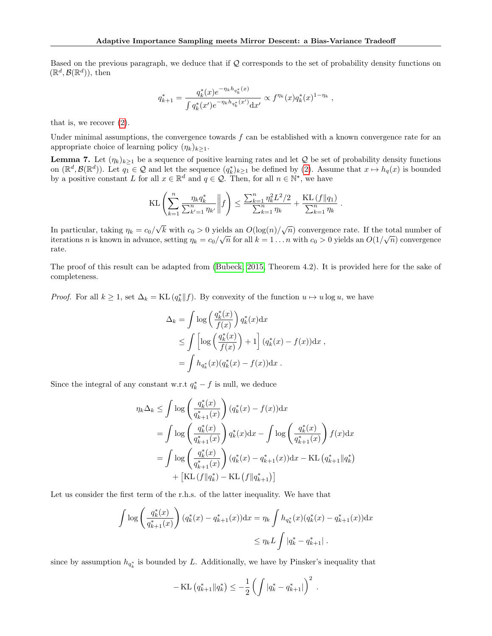Based on the previous paragraph, we deduce that if Q corresponds to the set of probability density functions on  $(\mathbb{R}^d, \mathcal{B}(\mathbb{R}^d))$ , then

$$
q_{k+1}^* = \frac{q_k^*(x)e^{-\eta_k h_{q_k^*}(x)}}{\int q_k^*(x')e^{-\eta_k h_{q_k^*}(x')}dx'} \propto f^{\eta_k}(x)q_k^*(x)^{1-\eta_k},
$$

that is, we recover [\(2\)](#page-2-1).

Under minimal assumptions, the convergence towards  $f$  can be established with a known convergence rate for an appropriate choice of learning policy  $(\eta_k)_{k\geq 1}$ .

<span id="page-13-0"></span>**Lemma 7.** Let  $(\eta_k)_{k\geq 1}$  be a sequence of positive learning rates and let Q be set of probability density functions on  $(\mathbb{R}^d, \mathcal{B}(\mathbb{R}^d))$ . Let  $q_1 \in \mathcal{Q}$  and let the sequence  $(q_k^*)_{k\geq 1}$  be defined by [\(2\)](#page-2-1). Assume that  $x \mapsto h_q(x)$  is bounded by a positive constant L for all  $x \in \mathbb{R}^d$  and  $q \in \mathcal{Q}$ . Then, for all  $n \in \mathbb{N}^*$ , we have

$$
\text{KL}\left(\sum_{k=1}^n \frac{\eta_k q_k^*}{\sum_{k'=1}^n \eta_{k'}} \middle\| f\right) \le \frac{\sum_{k=1}^n \eta_k^2 L^2 / 2}{\sum_{k=1}^n \eta_k} + \frac{\text{KL}\left(f \| q_1\right)}{\sum_{k=1}^n \eta_k}.
$$

In particular, taking  $\eta_k = c_0/\sqrt{k}$  with  $c_0 > 0$  yields an  $O(\log(n)/\sqrt{n})$  convergence rate. If the total number of iterations n is known in advance, setting  $\eta_k = c_0/\sqrt{n}$  for all  $k = 1...n$  with  $c_0 > 0$  yields an  $O(1/\sqrt{n})$  convergence rate.

The proof of this result can be adapted from [\(Bubeck, 2015,](#page-8-16) Theorem 4.2). It is provided here for the sake of completeness.

*Proof.* For all  $k \geq 1$ , set  $\Delta_k = KL(q_k^*||f)$ . By convexity of the function  $u \mapsto u \log u$ , we have

$$
\Delta_k = \int \log \left( \frac{q_k^*(x)}{f(x)} \right) q_k^*(x) dx
$$
  
\n
$$
\leq \int \left[ \log \left( \frac{q_k^*(x)}{f(x)} \right) + 1 \right] (q_k^*(x) - f(x)) dx,
$$
  
\n
$$
= \int h_{q_k^*}(x) (q_k^*(x) - f(x)) dx.
$$

Since the integral of any constant w.r.t  $q_k^* - f$  is null, we deduce

$$
\eta_k \Delta_k \leq \int \log \left( \frac{q_k^*(x)}{q_{k+1}^*(x)} \right) (q_k^*(x) - f(x)) dx
$$
  
\n
$$
= \int \log \left( \frac{q_k^*(x)}{q_{k+1}^*(x)} \right) q_k^*(x) dx - \int \log \left( \frac{q_k^*(x)}{q_{k+1}^*(x)} \right) f(x) dx
$$
  
\n
$$
= \int \log \left( \frac{q_k^*(x)}{q_{k+1}^*(x)} \right) (q_k^*(x) - q_{k+1}^*(x)) dx - \text{KL} (q_{k+1}^* || q_k^*)
$$
  
\n
$$
+ \left[ \text{KL} (f || q_k^*) - \text{KL} (f || q_{k+1}^*) \right]
$$

Let us consider the first term of the r.h.s. of the latter inequality. We have that

$$
\int \log \left( \frac{q_k^*(x)}{q_{k+1}^*(x)} \right) (q_k^*(x) - q_{k+1}^*(x)) dx = \eta_k \int h_{q_k^*}(x) (q_k^*(x) - q_{k+1}^*(x)) dx
$$
  

$$
\leq \eta_k L \int |q_k^* - q_{k+1}^*|.
$$

since by assumption  $h_{q_k^*}$  is bounded by L. Additionally, we have by Pinsker's inequality that

$$
-\mathrm{KL}(q_{k+1}^*||q_k^*) \leq -\frac{1}{2}\left(\int|q_k^*-q_{k+1}^*|\right)^2.
$$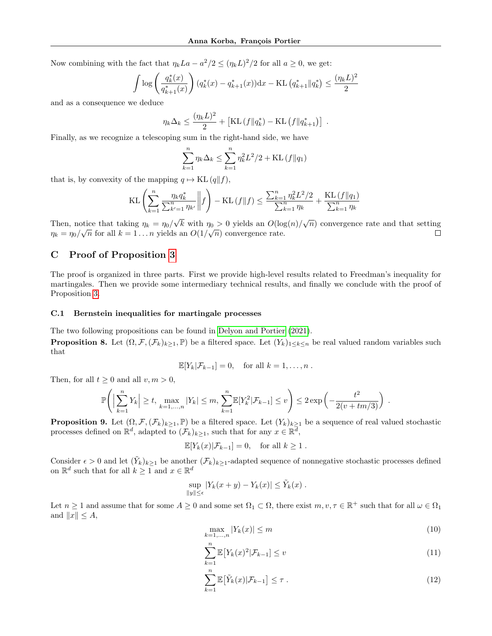Now combining with the fact that  $\eta_k La - a^2/2 \leq (\eta_k L)^2/2$  for all  $a \geq 0$ , we get:

$$
\int \log \left( \frac{q_k^*(x)}{q_{k+1}^*(x)} \right) (q_k^*(x) - q_{k+1}^*(x)) dx - \text{KL} \left( q_{k+1}^* \| q_k^* \right) \le \frac{(\eta_k L)^2}{2}
$$

and as a consequence we deduce

$$
\eta_k \Delta_k \le \frac{(\eta_k L)^2}{2} + \left[ \text{KL} \left( f \| q_k^* \right) - \text{KL} \left( f \| q_{k+1}^* \right) \right] \; .
$$

Finally, as we recognize a telescoping sum in the right-hand side, we have

$$
\sum_{k=1}^{n} \eta_k \Delta_k \le \sum_{k=1}^{n} \eta_k^2 L^2 / 2 + \text{KL} \left( f \| q_1 \right)
$$

that is, by convexity of the mapping  $q \mapsto KL (q||f)$ ,

$$
KL\left(\sum_{k=1}^{n} \frac{\eta_k q_k^*}{\sum_{k'=1}^{n} \eta_{k'}} \middle\| f\right) - KL(f||f) \le \frac{\sum_{k=1}^{n} \eta_k^2 L^2 / 2}{\sum_{k=1}^{n} \eta_k} + \frac{KL(f||q_1)}{\sum_{k=1}^{n} \eta_k}
$$

Then, notice that taking  $\eta_k = \eta_0/\sqrt{k}$  with  $\eta_0 > 0$  yields an  $O(\log(n)/\sqrt{n})$  convergence rate and that setting  $\eta_k = \eta_0 / \sqrt{n}$  for all  $k = 1 ... n$  yields an  $O(1/\sqrt{n})$  convergence rate.  $\Box$ 

## <span id="page-14-0"></span>C Proof of Proposition [3](#page-4-7)

The proof is organized in three parts. First we provide high-level results related to Freedman's inequality for martingales. Then we provide some intermediary technical results, and finally we conclude with the proof of Proposition [3.](#page-4-7)

#### C.1 Bernstein inequalities for martingale processes

<span id="page-14-1"></span>The two following propositions can be found in [Delyon and Portier \(2021\)](#page-8-9). **Proposition 8.** Let  $(\Omega, \mathcal{F}, (\mathcal{F}_k)_{k>1}, \mathbb{P})$  be a filtered space. Let  $(Y_k)_{1\leq k\leq n}$  be real valued random variables such that

$$
\mathbb{E}[Y_k|\mathcal{F}_{k-1}] = 0, \text{ for all } k = 1, \ldots, n.
$$

Then, for all  $t \geq 0$  and all  $v, m > 0$ ,

$$
\mathbb{P}\Bigg( \Big|\sum_{k=1}^n Y_k\Big| \geq t, \, \max_{k=1,\ldots,n} |Y_k| \leq m, \, \sum_{k=1}^n \mathbb{E}[Y_k^2 | \mathcal{F}_{k-1}] \leq v \Bigg) \leq 2 \exp\left(-\frac{t^2}{2(v+tm/3)}\right) \, .
$$

<span id="page-14-2"></span>**Proposition 9.** Let  $(0, \mathcal{F}, (\mathcal{F}_k)_{k\geq 1}, \mathbb{P})$  be a filtered space. Let  $(Y_k)_{k\geq 1}$  be a sequence of real valued stochastic processes defined on  $\mathbb{R}^d$ , adapted to  $(\mathcal{F}_k)_{k\geq 1}$ , such that for any  $x \in \mathbb{R}^{\overline{d}}$ ,

$$
\mathbb{E}[Y_k(x)|\mathcal{F}_{k-1}] = 0, \text{ for all } k \ge 1.
$$

Consider  $\epsilon > 0$  and let  $(\tilde{Y}_k)_{k\geq 1}$  be another  $(\mathcal{F}_k)_{k\geq 1}$ -adapted sequence of nonnegative stochastic processes defined on  $\mathbb{R}^d$  such that for all  $k \geq 1$  and  $x \in \mathbb{R}^d$ 

$$
\sup_{\|y\| \leq \epsilon} |Y_k(x+y) - Y_k(x)| \leq \tilde{Y}_k(x) .
$$

Let  $n \geq 1$  and assume that for some  $A \geq 0$  and some set  $\Omega_1 \subset \Omega$ , there exist  $m, v, \tau \in \mathbb{R}^+$  such that for all  $\omega \in \Omega_1$ and  $||x|| \leq A$ ,

$$
\max_{k=1,\dots,n} |Y_k(x)| \le m \tag{10}
$$

$$
\sum_{k=1}^{n} \mathbb{E}\left[Y_k(x)^2 | \mathcal{F}_{k-1}\right] \le v \tag{11}
$$

$$
\sum_{k=1}^{n} \mathbb{E}\big[\tilde{Y}_k(x)|\mathcal{F}_{k-1}\big] \leq \tau \tag{12}
$$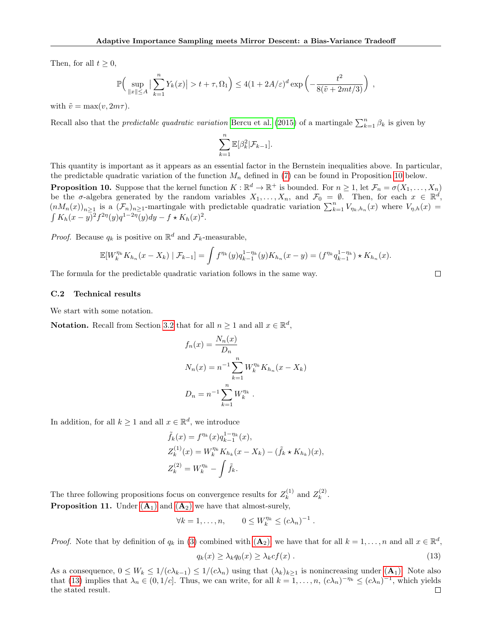Then, for all  $t > 0$ ,

$$
\mathbb{P}\Big(\sup_{\|x\|\leq A}\big|\sum_{k=1}^nY_k(x)\big|>t+\tau,\Omega_1\Big)\leq 4(1+2A/\varepsilon)^d\exp\left(-\frac{t^2}{8(\tilde{v}+2mt/3)}\right)\;,
$$

with  $\tilde{v} = \max(v, 2m\tau)$ .

Recall also that the *predictable quadratic variation* [Bercu et al. \(2015\)](#page-8-12) of a martingale  $\sum_{k=1}^{n} \beta_k$  is given by

$$
\sum_{k=1}^{n} \mathbb{E}[\beta_k^2 | \mathcal{F}_{k-1}].
$$

This quantity is important as it appears as an essential factor in the Bernstein inequalities above. In particular, the predictable quadratic variation of the function  $M_n$  defined in [\(7\)](#page-3-5) can be found in Proposition [10](#page-15-0) below.

<span id="page-15-0"></span>**Proposition 10.** Suppose that the kernel function  $K : \mathbb{R}^d \to \mathbb{R}^+$  is bounded. For  $n \geq 1$ , let  $\mathcal{F}_n = \sigma(X_1, \ldots, X_n)$ be the  $\sigma$ -algebra generated by the random variables  $X_1, \ldots, X_n$ , and  $\mathcal{F}_0 = \emptyset$ . Then, for each  $x \in \mathbb{R}^d$ ,  $(nM_n(x))_{n\geq 1}$  is a  $(\mathcal{F}_n)_{n\geq 1}$ -martingale with predictable quadratic variation  $\sum_{k=1}^n V_{\eta_k,h_n}(x)$  where  $V_{\eta,h}(x)$  $\int K_h(x-y)^2 f^{2\eta}(y) q^{1-2\eta}(y) dy - f \star K_h(x)^2$ .

*Proof.* Because  $q_k$  is positive on  $\mathbb{R}^d$  and  $\mathcal{F}_k$ -measurable,

$$
\mathbb{E}[W_k^{\eta_k} K_{h_n}(x - X_k) | \mathcal{F}_{k-1}] = \int f^{\eta_k}(y) q_{k-1}^{1-\eta_k}(y) K_{h_n}(x - y) = (f^{\eta_k} q_{k-1}^{1-\eta_k}) \star K_{h_n}(x).
$$

The formula for the predictable quadratic variation follows in the same way.

#### C.2 Technical results

We start with some notation.

**Notation.** Recall from Section [3.2](#page-3-3) that for all  $n \ge 1$  and all  $x \in \mathbb{R}^d$ ,

$$
f_n(x) = \frac{N_n(x)}{D_n}
$$
  
\n
$$
N_n(x) = n^{-1} \sum_{k=1}^n W_k^{\eta_k} K_{h_n}(x - X_k)
$$
  
\n
$$
D_n = n^{-1} \sum_{k=1}^n W_k^{\eta_k}.
$$

In addition, for all  $k \ge 1$  and all  $x \in \mathbb{R}^d$ , we introduce

$$
\tilde{f}_k(x) = f^{\eta_k}(x) q_{k-1}^{1-\eta_k}(x), \nZ_k^{(1)}(x) = W_k^{\eta_k} K_{h_k}(x - X_k) - (\tilde{f}_k \star K_{h_k})(x), \nZ_k^{(2)} = W_k^{\eta_k} - \int \tilde{f}_k.
$$

<span id="page-15-2"></span>The three following propositions focus on convergence results for  $Z_k^{(1)}$  $\mathbf{z}_k^{(1)}$  and  $\mathbf{Z}_k^{(2)}$  $\frac{1}{k}$ . **Proposition 11.** Under  $(A_1)$  $(A_1)$  $(A_1)$  and  $(A_2)$  we have that almost-surely,

$$
\forall k = 1, \dots, n, \qquad 0 \le W_k^{\eta_k} \le (c\lambda_n)^{-1}
$$

*Proof.* Note that by definition of  $q_k$  in [\(3\)](#page-2-4) combined with  $(\mathbf{A}_2)$  $(\mathbf{A}_2)$  $(\mathbf{A}_2)$ , we have that for all  $k = 1, ..., n$  and all  $x \in \mathbb{R}^d$ ,

<span id="page-15-1"></span>
$$
q_k(x) \ge \lambda_k q_0(x) \ge \lambda_k cf(x) . \tag{13}
$$

.

<span id="page-15-3"></span>[A](#page-3-2)s a consequence,  $0 \leq W_k \leq 1/(c\lambda_{k-1}) \leq 1/(c\lambda_n)$  using that  $(\lambda_k)_{k\geq 1}$  is nonincreasing under  $(\mathbf{A}_1)$ . Note also that [\(13\)](#page-15-1) implies that  $\lambda_n \in (0,1/c]$ . Thus, we can write, for all  $k = 1, \ldots, n$ ,  $(c\lambda_n)^{-\eta_k} \leq (c\lambda_n)^{-1}$ , which yields the stated result. $\Box$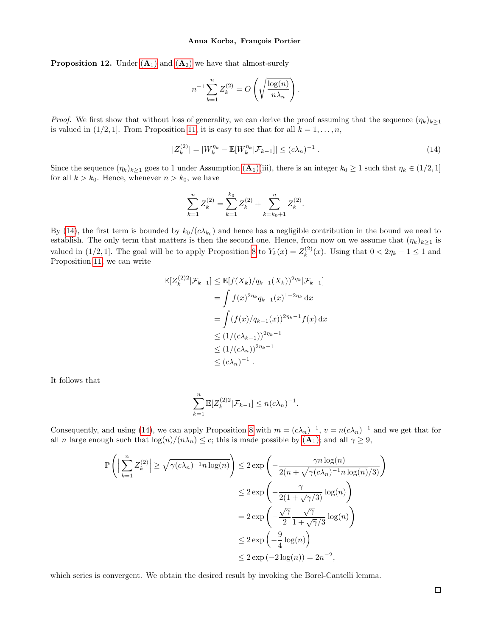**Proposition 12.** Under  $(A_1)$  $(A_1)$  $(A_1)$  and  $(A_2)$  we have that almost-surely

<span id="page-16-0"></span>
$$
n^{-1} \sum_{k=1}^{n} Z_k^{(2)} = O\left(\sqrt{\frac{\log(n)}{n\lambda_n}}\right).
$$

*Proof.* We first show that without loss of generality, we can derive the proof assuming that the sequence  $(\eta_k)_{k\geq 1}$ is valued in  $(1/2, 1]$ . From Proposition [11,](#page-15-2) it is easy to see that for all  $k = 1, \ldots, n$ ,

$$
|Z_k^{(2)}| = |W_k^{\eta_k} - \mathbb{E}[W_k^{\eta_k} | \mathcal{F}_{k-1}]| \le (c\lambda_n)^{-1} . \tag{14}
$$

Since the sequence  $(\eta_k)_{k>1}$  goes to 1 under [A](#page-3-2)ssumption  $(A_1)(iii)$ , there is an integer  $k_0 \ge 1$  such that  $\eta_k \in (1/2, 1]$ for all  $k > k_0$ . Hence, whenever  $n > k_0$ , we have

$$
\sum_{k=1}^{n} Z_k^{(2)} = \sum_{k=1}^{k_0} Z_k^{(2)} + \sum_{k=k_0+1}^{n} Z_k^{(2)}.
$$

By [\(14\)](#page-16-0), the first term is bounded by  $k_0/(c\lambda_{k_0})$  and hence has a negligible contribution in the bound we need to establish. The only term that matters is then the second one. Hence, from now on we assume that  $(\eta_k)_{k\geq 1}$  is valued in (1/2, 1]. The goal will be to apply Proposition [8](#page-14-1) to  $Y_k(x) = Z_k^{(2)}$  $\chi_k^{(2)}(x)$ . Using that  $0 < 2\eta_k - 1 \leq 1$  and Proposition [11,](#page-15-2) we can write

$$
\mathbb{E}[Z_k^{(2)2} | \mathcal{F}_{k-1}] \leq \mathbb{E}[f(X_k)/q_{k-1}(X_k))^{2\eta_k} | \mathcal{F}_{k-1}]
$$
  
=  $\int f(x)^{2\eta_k} q_{k-1}(x)^{1-2\eta_k} dx$   
=  $\int (f(x)/q_{k-1}(x))^{2\eta_k-1} f(x) dx$   
 $\leq (1/(c\lambda_{k-1}))^{2\eta_k-1}$   
 $\leq (1/(c\lambda_n))^{2\eta_k-1}$   
 $\leq (c\lambda_n)^{-1}.$ 

It follows that

$$
\sum_{k=1}^{n} \mathbb{E}[Z_k^{(2)2} | \mathcal{F}_{k-1}] \le n(c\lambda_n)^{-1}.
$$

Consequently, and using [\(14\)](#page-16-0), we can apply Proposition [8](#page-14-1) with  $m = (c\lambda_n)^{-1}$ ,  $v = n(c\lambda_n)^{-1}$  and we get that for all n large enough such that  $\log(n)/(n\lambda_n) \leq c$ ; this is made possible by  $(\mathbf{A}_1)$  $(\mathbf{A}_1)$  $(\mathbf{A}_1)$ ; and all  $\gamma \geq 9$ ,

$$
\mathbb{P}\left(\left|\sum_{k=1}^{n} Z_{k}^{(2)}\right| \geq \sqrt{\gamma(c\lambda_{n})^{-1}n\log(n)}\right) \leq 2\exp\left(-\frac{\gamma n\log(n)}{2(n+\sqrt{\gamma(c\lambda_{n})^{-1}n\log(n)}/3)}\right)
$$
  

$$
\leq 2\exp\left(-\frac{\gamma}{2(1+\sqrt{\gamma}/3)}\log(n)\right)
$$
  

$$
= 2\exp\left(-\frac{\sqrt{\gamma}}{2}\frac{\sqrt{\gamma}}{1+\sqrt{\gamma}/3}\log(n)\right)
$$
  

$$
\leq 2\exp\left(-\frac{9}{4}\log(n)\right)
$$
  

$$
\leq 2\exp(-2\log(n)) = 2n^{-2},
$$

<span id="page-16-1"></span>which series is convergent. We obtain the desired result by invoking the Borel-Cantelli lemma.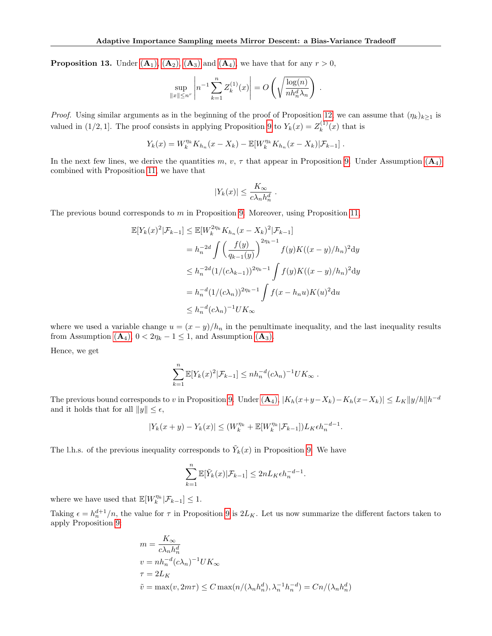**Proposition 13.** Under  $(A_1)$  $(A_1)$  $(A_1)$ ,  $(A_2)$ ,  $(A_3)$  and  $(A_4)$ , we have that for any  $r > 0$ ,

$$
\sup_{\|x\| \le n^r} \left| n^{-1} \sum_{k=1}^n Z_k^{(1)}(x) \right| = O\left(\sqrt{\frac{\log(n)}{nh_n^d \lambda_n}}\right).
$$

*Proof.* Using similar arguments as in the beginning of the proof of Proposition [12,](#page-15-3) we can assume that  $(\eta_k)_{k>1}$  is valued in (1/2, 1]. The proof consists in applying Proposition [9](#page-14-2) to  $Y_k(x) = Z_k^{(1)}$  $\binom{1}{k}(x)$  that is

$$
Y_k(x) = W_k^{\eta_k} K_{h_n}(x - X_k) - \mathbb{E}[W_k^{\eta_k} K_{h_n}(x - X_k)|\mathcal{F}_{k-1}].
$$

In the next few lines, we derive the quantities m, v,  $\tau$  that appear in Proposition [9.](#page-14-2) Under [A](#page-4-2)ssumption (A<sub>4</sub>) combined with Proposition [11,](#page-15-2) we have that

$$
|Y_k(x)| \le \frac{K_{\infty}}{c\lambda_n h_n^d}.
$$

The previous bound corresponds to  $m$  in Proposition [9.](#page-14-2) Moreover, using Proposition [11,](#page-15-2)

$$
\mathbb{E}[Y_k(x)^2|\mathcal{F}_{k-1}] \le \mathbb{E}[W_k^{2\eta_k} K_{h_n}(x - X_k)^2|\mathcal{F}_{k-1}]
$$
  
\n
$$
= h_n^{-2d} \int \left(\frac{f(y)}{q_{k-1}(y)}\right)^{2\eta_k - 1} f(y)K((x - y)/h_n)^2 dy
$$
  
\n
$$
\le h_n^{-2d} (1/(c\lambda_{k-1}))^{2\eta_k - 1} \int f(y)K((x - y)/h_n)^2 dy
$$
  
\n
$$
= h_n^{-d} (1/(c\lambda_n))^{2\eta_k - 1} \int f(x - h_n u)K(u)^2 du
$$
  
\n
$$
\le h_n^{-d} (c\lambda_n)^{-1} UK_{\infty}
$$

where we used a variable change  $u = (x - y)/h_n$  in the penultimate inequality, and the last inequality results from [A](#page-4-1)ssumption  $(A_4)$ ,  $0 < 2\eta_k - 1 \leq 1$ , and Assumption  $(A_3)$ .

Hence, we get

$$
\sum_{k=1}^n \mathbb{E}[Y_k(x)^2 | \mathcal{F}_{k-1}] \le nh_n^{-d} (c\lambda_n)^{-1} U K_\infty.
$$

The previous bound corresponds to v in Proposition [9.](#page-14-2) Under  $(A_4)$  $(A_4)$  $(A_4)$ ,  $|K_h(x+y-X_k)-K_h(x-X_k)| \leq L_K ||y/h|| h^{-d}$ and it holds that for all  $||y|| \leq \epsilon$ ,

$$
|Y_k(x + y) - Y_k(x)| \le (W_k^{\eta_k} + \mathbb{E}[W_k^{\eta_k} | \mathcal{F}_{k-1}]) L_K \epsilon h_n^{-d-1}.
$$

The l.h.s. of the previous inequality corresponds to  $\tilde{Y}_k(x)$  in Proposition [9.](#page-14-2) We have

$$
\sum_{k=1}^{n} \mathbb{E}[\tilde{Y}_k(x)|\mathcal{F}_{k-1}] \leq 2nL_K \epsilon h_n^{-d-1}.
$$

where we have used that  $\mathbb{E}[W_k^{\eta_k}|\mathcal{F}_{k-1}] \leq 1$ .

Taking  $\epsilon = h_n^{d+1}/n$ , the value for  $\tau$  in Proposition [9](#page-14-2) is  $2L_K$ . Let us now summarize the different factors taken to apply Proposition [9:](#page-14-2)

$$
m = \frac{K_{\infty}}{c\lambda_n h_n^d}
$$
  
\n
$$
v = nh_n^{-d} (c\lambda_n)^{-1} UK_{\infty}
$$
  
\n
$$
\tau = 2L_K
$$
  
\n
$$
\tilde{v} = \max(v, 2m\tau) \le C \max(n/(\lambda_n h_n^d), \lambda_n^{-1} h_n^{-d}) = C_n/(\lambda_n h_n^d)
$$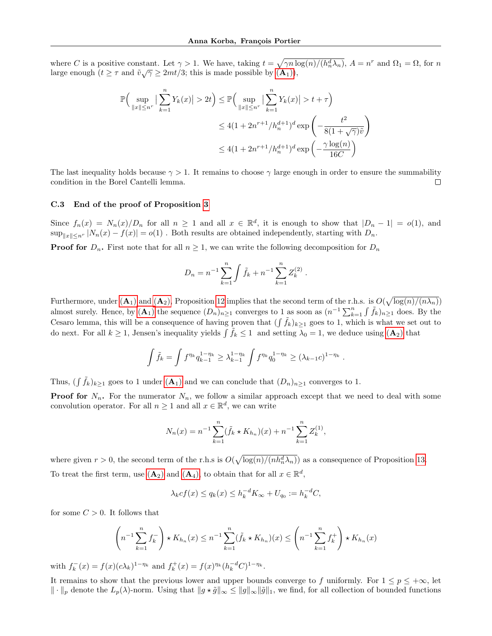where C is a positive constant. Let  $\gamma > 1$ . We have, taking  $t = \sqrt{\gamma n \log(n)/(h_n^d \lambda_n)}$ ,  $A = n^r$  and  $\Omega_1 = \Omega$ , for n large enough  $(t \geq \tau \text{ and } \tilde{v}\sqrt{\gamma} \geq 2mt/3$ ; this is made possible by  $(A_1)$  $(A_1)$  $(A_1)$ ),

$$
\mathbb{P}\Big(\sup_{\|x\| \le n^r} \left| \sum_{k=1}^n Y_k(x) \right| > 2t \Big) \le \mathbb{P}\Big(\sup_{\|x\| \le n^r} \left| \sum_{k=1}^n Y_k(x) \right| > t + \tau \Big) \\
\le 4(1 + 2n^{r+1}/h_n^{d+1})^d \exp\left(-\frac{t^2}{8(1 + \sqrt{\gamma})\tilde{v}}\right) \\
\le 4(1 + 2n^{r+1}/h_n^{d+1})^d \exp\left(-\frac{\gamma \log(n)}{16C}\right)
$$

The last inequality holds because  $\gamma > 1$ . It remains to choose  $\gamma$  large enough in order to ensure the summability condition in the Borel Cantelli lemma. П

#### C.3 End of the proof of Proposition [3](#page-4-7)

Since  $f_n(x) = N_n(x)/D_n$  for all  $n \ge 1$  and all  $x \in \mathbb{R}^d$ , it is enough to show that  $|D_n - 1| = o(1)$ , and  $\sup_{\|x\| \leq n^r} |N_n(x) - f(x)| = o(1)$ . Both results are obtained independently, starting with  $D_n$ .

**Proof for**  $D_n$ . First note that for all  $n \geq 1$ , we can write the following decomposition for  $D_n$ 

$$
D_n = n^{-1} \sum_{k=1}^n \int \tilde{f}_k + n^{-1} \sum_{k=1}^n Z_k^{(2)}.
$$

Furthermore, under  $(A_1)$  $(A_1)$  $(A_1)$  and  $(A_2)$ , Proposition [12](#page-15-3) implies that the second term of the r.h.s. is  $O(\sqrt{\log(n)/(n\lambda_n)})$ almost surely. Hence, by  $(\mathbf{A}_1)$  $(\mathbf{A}_1)$  $(\mathbf{A}_1)$  the sequence  $(D_n)_{n\geq 1}$  converges to 1 as soon as  $(n^{-1}\sum_{k=1}^n \int \tilde{f}_k)_{n\geq 1}$  does. By the Cesaro lemma, this will be a consequence of having proven that  $(\int \tilde{f}_k)_{k\geq 1}$  goes to 1, which is what we set out to do next. For all  $k \ge 1$ , Jensen's inequality yields  $\int \tilde{f}_k \le 1$  and setting  $\lambda_0 = 1$ , we deduce using  $(\mathbf{A}_2)$  $(\mathbf{A}_2)$  $(\mathbf{A}_2)$  that

$$
\int \tilde{f}_k = \int f^{\eta_k} q_{k-1}^{1-\eta_k} \geq \lambda_{k-1}^{1-\eta_k} \int f^{\eta_k} q_0^{1-\eta_k} \geq (\lambda_{k-1}c)^{1-\eta_k}
$$

.

Thus,  $(\int \tilde{f}_k)_{k\geq 1}$  goes to 1 under  $(\mathbf{A}_1)$  $(\mathbf{A}_1)$  $(\mathbf{A}_1)$  and we can conclude that  $(D_n)_{n\geq 1}$  converges to 1.

**Proof for**  $N_n$ . For the numerator  $N_n$ , we follow a similar approach except that we need to deal with some convolution operator. For all  $n \geq 1$  and all  $x \in \mathbb{R}^d$ , we can write

$$
N_n(x) = n^{-1} \sum_{k=1}^n (\tilde{f}_k \star K_{h_n})(x) + n^{-1} \sum_{k=1}^n Z_k^{(1)},
$$

where given  $r > 0$ , the second term of the r.h.s is  $O(\sqrt{\log(n)/(nh_n^d\lambda_n)})$  as a consequence of Proposition [13.](#page-16-1) To treat the first term, use  $(\mathbf{A}_2)$  $(\mathbf{A}_2)$  $(\mathbf{A}_2)$  and  $(\mathbf{A}_4)$ , to obtain that for all  $x \in \mathbb{R}^d$ ,

$$
\lambda_k cf(x) \le q_k(x) \le h_k^{-d} K_\infty + U_{q_0} := h_k^{-d} C,
$$

for some  $C > 0$ . It follows that

$$
\left(n^{-1}\sum_{k=1}^{n}f_k^-\right) \star K_{h_n}(x) \le n^{-1}\sum_{k=1}^{n}(\tilde{f}_k \star K_{h_n})(x) \le \left(n^{-1}\sum_{k=1}^{n}f_k^+\right) \star K_{h_n}(x)
$$

with  $f_k^-(x) = f(x)(c\lambda_k)^{1-\eta_k}$  and  $f_k^+(x) = f(x)^{\eta_k} (h_k^{-d}C)^{1-\eta_k}$ .

It remains to show that the previous lower and upper bounds converge to f uniformly. For  $1 \le p \le +\infty$ , let  $\|\cdot\|_p$  denote the  $L_p(\lambda)$ -norm. Using that  $\|g \star \tilde{g}\|_{\infty} \leq \|g\|_{\infty} \|\tilde{g}\|_1$ , we find, for all collection of bounded functions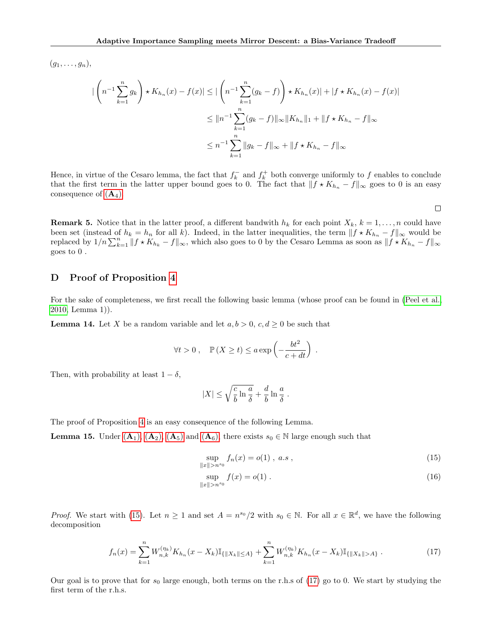$(g_1, \ldots, g_n),$ 

$$
\left| \left( n^{-1} \sum_{k=1}^{n} g_k \right) \star K_{h_n}(x) - f(x) \right| \le \left| \left( n^{-1} \sum_{k=1}^{n} (g_k - f) \right) \star K_{h_n}(x) \right| + \left| f \star K_{h_n}(x) - f(x) \right|
$$
  

$$
\le \| n^{-1} \sum_{k=1}^{n} (g_k - f) \|_{\infty} \| K_{h_n} \|_1 + \| f \star K_{h_n} - f \|_{\infty}
$$
  

$$
\le n^{-1} \sum_{k=1}^{n} \| g_k - f \|_{\infty} + \| f \star K_{h_n} - f \|_{\infty}
$$

Hence, in virtue of the Cesaro lemma, the fact that  $f_k^-$  and  $f_k^+$  both converge uniformly to f enables to conclude that the first term in the latter upper bound goes to 0. The fact that  $|| f \star K_{h_n} - f ||_{\infty}$  goes to 0 is an easy consequence of  $(A_4)$  $(A_4)$  $(A_4)$ .

 $\Box$ 

<span id="page-19-0"></span>**Remark 5.** Notice that in the latter proof, a different bandwith  $h_k$  for each point  $X_k$ ,  $k = 1, \ldots, n$  could have been set (instead of  $h_k = h_n$  for all k). Indeed, in the latter inequalities, the term  $|| f * K_{h_n} - f||_{\infty}$  would be replaced by  $1/n \sum_{k=1}^{n} ||f \star K_{h_k} - f||_{\infty}$ , which also goes to 0 by the Cesaro Lemma as soon as  $||f \star K_{h_n} - f||_{\infty}$ goes to 0 .

## <span id="page-19-1"></span>D Proof of Proposition [4](#page-4-8)

For the sake of completeness, we first recall the following basic lemma (whose proof can be found in [\(Peel et al.,](#page-9-27) [2010,](#page-9-27) Lemma 1)).

<span id="page-19-4"></span>**Lemma 14.** Let X be a random variable and let  $a, b > 0$ ,  $c, d \ge 0$  be such that

$$
\forall t > 0 , \quad \mathbb{P}(X \ge t) \le a \exp\left(-\frac{bt^2}{c+dt}\right) .
$$

Then, with probability at least  $1 - \delta$ ,

$$
|X| \le \sqrt{\frac{c}{b} \ln \frac{a}{\delta}} + \frac{d}{b} \ln \frac{a}{\delta} \;.
$$

The proof of Proposition [4](#page-4-8) is an easy consequence of the following Lemma.

**Lemma 15.** Under  $(A_1)$  $(A_1)$  $(A_1)$ ,  $(A_2)$ ,  $(A_5)$  and  $(A_6)$ , there exists  $s_0 \in \mathbb{N}$  large enough such that

<span id="page-19-5"></span><span id="page-19-2"></span>
$$
\sup_{\|x\|>n^{s_0}} f_n(x) = o(1), \ a.s \ , \tag{15}
$$

<span id="page-19-3"></span>
$$
\sup_{\|x\|>n^{s_0}} f(x) = o(1) . \tag{16}
$$

*Proof.* We start with [\(15\)](#page-19-2). Let  $n \geq 1$  and set  $A = n^{s_0}/2$  with  $s_0 \in \mathbb{N}$ . For all  $x \in \mathbb{R}^d$ , we have the following decomposition

$$
f_n(x) = \sum_{k=1}^n W_{n,k}^{(\eta_k)} K_{h_n}(x - X_k) \mathbb{I}_{\{\|X_k\| \le A\}} + \sum_{k=1}^n W_{n,k}^{(\eta_k)} K_{h_n}(x - X_k) \mathbb{I}_{\{\|X_k\| > A\}}.
$$
 (17)

Our goal is to prove that for  $s_0$  large enough, both terms on the r.h.s of [\(17\)](#page-19-3) go to 0. We start by studying the first term of the r.h.s.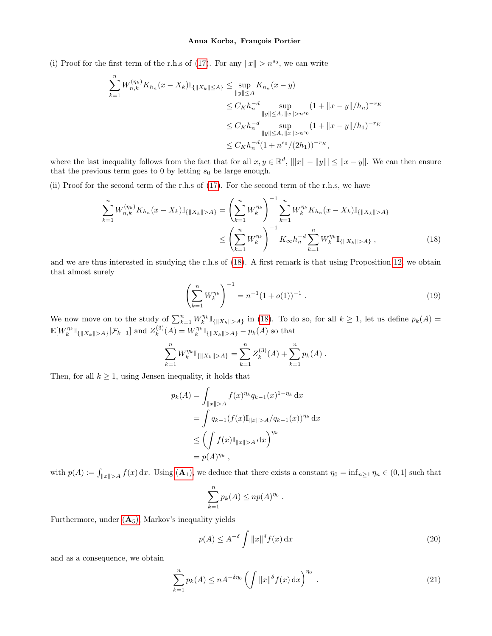(i) Proof for the first term of the r.h.s of [\(17\)](#page-19-3). For any  $||x|| > n^{s_0}$ , we can write

$$
\sum_{k=1}^{n} W_{n,k}^{(\eta_k)} K_{h_n}(x - X_k) \mathbb{I}_{\{|X_k\| \le A\}} \le \sup_{\|y\| \le A} K_{h_n}(x - y)
$$
\n
$$
\le C_K h_n^{-d} \sup_{\|y\| \le A, \|x\| > n^{s_0}} (1 + \|x - y\|/h_n)^{-r_K}
$$
\n
$$
\le C_K h_n^{-d} \sup_{\|y\| \le A, \|x\| > n^{s_0}} (1 + \|x - y\|/h_1)^{-r_K}
$$
\n
$$
\le C_K h_n^{-d} (1 + n^{s_0}/(2h_1))^{-r_K},
$$

where the last inequality follows from the fact that for all  $x, y \in \mathbb{R}^d$ ,  $|||x|| - ||y||| \le ||x - y||$ . We can then ensure that the previous term goes to 0 by letting  $s_0$  be large enough.

(ii) Proof for the second term of the r.h.s of [\(17\)](#page-19-3). For the second term of the r.h.s, we have

$$
\sum_{k=1}^{n} W_{n,k}^{(\eta_k)} K_{h_n}(x - X_k) \mathbb{I}_{\{\|X_k\| > A\}} = \left(\sum_{k=1}^{n} W_k^{\eta_k}\right)^{-1} \sum_{k=1}^{n} W_k^{\eta_k} K_{h_n}(x - X_k) \mathbb{I}_{\{\|X_k\| > A\}} \n\le \left(\sum_{k=1}^{n} W_k^{\eta_k}\right)^{-1} K_{\infty} h_n^{-d} \sum_{k=1}^{n} W_k^{\eta_k} \mathbb{I}_{\{\|X_k\| > A\}},
$$
\n(18)

and we are thus interested in studying the r.h.s of [\(18\)](#page-20-0). A first remark is that using Proposition [12,](#page-15-3) we obtain that almost surely

<span id="page-20-2"></span><span id="page-20-0"></span>
$$
\left(\sum_{k=1}^{n} W_k^{\eta_k}\right)^{-1} = n^{-1}(1+o(1))^{-1}.
$$
\n(19)

We now move on to the study of  $\sum_{k=1}^n W_k^{\eta_k} \mathbb{I}_{\{|X_k\|>A\}}$  in [\(18\)](#page-20-0). To do so, for all  $k \geq 1$ , let us define  $p_k(A)$  $\mathbb{E}[W_k^{\eta_k}\mathbb{I}_{\{\|X_k\|>A\}}|\mathcal{F}_{k-1}]$  and  $Z_k^{(3)}$  $k_k^{(3)}(A) = W_k^{\eta_k} \mathbb{I}_{\{|X_k\| > A\}} - p_k(A)$  so that

$$
\sum_{k=1}^n W_k^{\eta_k} \mathbb{I}_{\{\|X_k\|>A\}} = \sum_{k=1}^n Z_k^{(3)}(A) + \sum_{k=1}^n p_k(A) .
$$

Then, for all  $k \geq 1$ , using Jensen inequality, it holds that

$$
p_k(A) = \int_{\|x\|>A} f(x)^{\eta_k} q_{k-1}(x)^{1-\eta_k} dx
$$
  
= 
$$
\int q_{k-1} (f(x) \mathbb{I}_{\|x\|>A} / q_{k-1}(x))^{\eta_k} dx
$$
  

$$
\leq \left( \int f(x) \mathbb{I}_{\|x\|>A} dx \right)^{\eta_k}
$$
  
= 
$$
p(A)^{\eta_k},
$$

with  $p(A) := \int_{\|x\| > A} f(x) dx$  $p(A) := \int_{\|x\| > A} f(x) dx$  $p(A) := \int_{\|x\| > A} f(x) dx$ . Using  $(A_1)$ , we deduce that there exists a constant  $\eta_0 = \inf_{n \geq 1} \eta_n \in (0, 1]$  such that

<span id="page-20-1"></span>
$$
\sum_{k=1}^n p_k(A) \leq np(A)^{\eta_0} .
$$

Furthermore, under  $(A_5)$  $(A_5)$  $(A_5)$ , Markov's inequality yields

<span id="page-20-3"></span>
$$
p(A) \le A^{-\delta} \int \|x\|^{\delta} f(x) dx \tag{20}
$$

and as a consequence, we obtain

$$
\sum_{k=1}^{n} p_k(A) \le nA^{-\delta \eta_0} \left( \int \|x\|^{\delta} f(x) \, \mathrm{d} x \right)^{\eta_0} \,. \tag{21}
$$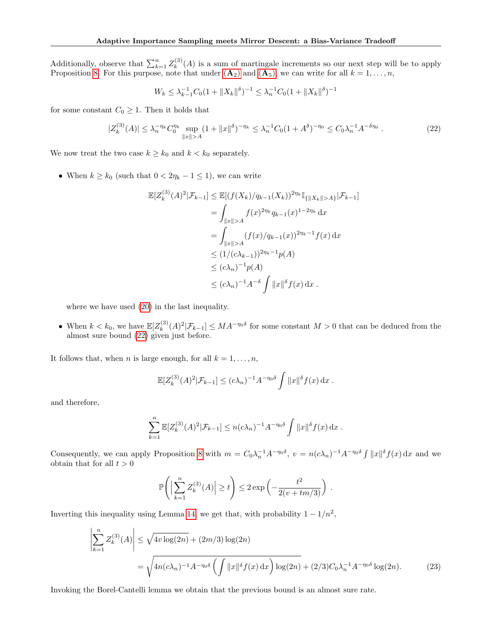Additionally, observe that  $\sum_{k=1}^{n} Z_k^{(3)}$  $k^{(0)}(A)$  is a sum of martingale increments so our next step will be to apply Proposition [8.](#page-14-1) For this purpose, note that under  $(\mathbf{A}_2)$  $(\mathbf{A}_2)$  $(\mathbf{A}_2)$  and  $(\mathbf{A}_5)$ , we can write for all  $k = 1, \ldots, n$ ,

<span id="page-21-0"></span>
$$
W_k \leq \lambda_{k-1}^{-1} C_0 (1 + \|X_k\|^{\delta})^{-1} \leq \lambda_n^{-1} C_0 (1 + \|X_k\|^{\delta})^{-1}
$$

for some constant  $C_0 \geq 1$ . Then it holds that

$$
|Z_k^{(3)}(A)| \le \lambda_n^{-\eta_k} C_0^{\eta_k} \sup_{\|x\| > A} (1 + \|x\|^\delta)^{-\eta_k} \le \lambda_n^{-1} C_0 (1 + A^\delta)^{-\eta_0} \le C_0 \lambda_n^{-1} A^{-\delta \eta_0} \,. \tag{22}
$$

We now treat the two case  $k \geq k_0$  and  $k < k_0$  separately.

• When  $k \geq k_0$  (such that  $0 < 2\eta_k - 1 \leq 1$ ), we can write

$$
\mathbb{E}[Z_k^{(3)}(A)^2 | \mathcal{F}_{k-1}] \leq \mathbb{E}[(f(X_k)/q_{k-1}(X_k))^{2\eta_k} \mathbb{I}_{\{\|X_k\|>A\}} | \mathcal{F}_{k-1}]
$$
  
\n
$$
= \int_{\|x\|>A} f(x)^{2\eta_k} q_{k-1}(x)^{1-2\eta_k} dx
$$
  
\n
$$
= \int_{\|x\|>A} (f(x)/q_{k-1}(x))^{2\eta_k-1} f(x) dx
$$
  
\n
$$
\leq (1/(c\lambda_{k-1}))^{2\eta_k-1} p(A)
$$
  
\n
$$
\leq (c\lambda_n)^{-1} p(A)
$$
  
\n
$$
\leq (c\lambda_n)^{-1} A^{-\delta} \int \|x\|^{\delta} f(x) dx.
$$

where we have used [\(20\)](#page-20-1) in the last inequality.

• When  $k < k_0$ , we have  $\mathbb{E}[Z_k^{(3)}]$  $\binom{3}{k}(A)^2|\mathcal{F}_{k-1}|\leq MA^{-\eta_0\delta}$  for some constant  $M>0$  that can be deduced from the almost sure bound [\(22\)](#page-21-0) given just before.

It follows that, when *n* is large enough, for all  $k = 1, \ldots, n$ ,

$$
\mathbb{E}[Z_k^{(3)}(A)^2 | \mathcal{F}_{k-1}] \le (c\lambda_n)^{-1} A^{-\eta_0 \delta} \int ||x||^{\delta} f(x) dx.
$$

and therefore,

$$
\sum_{k=1}^n \mathbb{E}[Z_k^{(3)}(A)^2 | \mathcal{F}_{k-1}] \le n(c\lambda_n)^{-1} A^{-\eta_0 \delta} \int ||x||^{\delta} f(x) dx.
$$

Consequently, we can apply Proposition [8](#page-14-1) with  $m = C_0 \lambda_n^{-1} A^{-\eta_0 \delta}$ ,  $v = n(c\lambda_n)^{-1} A^{-\eta_0 \delta} \int ||x||^{\delta} f(x) dx$  and we obtain that for all  $t > 0$ 

$$
\mathbb{P}\Bigg(\Big|\sum_{k=1}^n Z_k^{(3)}(A)\Big|\ge t\Bigg)\le 2\exp\left(-\frac{t^2}{2(\nu+tm/3)}\right)
$$

Inverting this inequality using Lemma [14,](#page-19-4) we get that, with probability  $1 - 1/n^2$ ,

$$
\left| \sum_{k=1}^{n} Z_k^{(3)}(A) \right| \le \sqrt{4v \log(2n)} + (2m/3) \log(2n)
$$
  
=  $\sqrt{4n(c\lambda_n)^{-1} A^{-\eta_0 \delta} \left( \int ||x||^{\delta} f(x) dx \right) \log(2n)} + (2/3) C_0 \lambda_n^{-1} A^{-\eta_0 \delta} \log(2n).$  (23)

<span id="page-21-1"></span>.

Invoking the Borel-Cantelli lemma we obtain that the previous bound is an almost sure rate.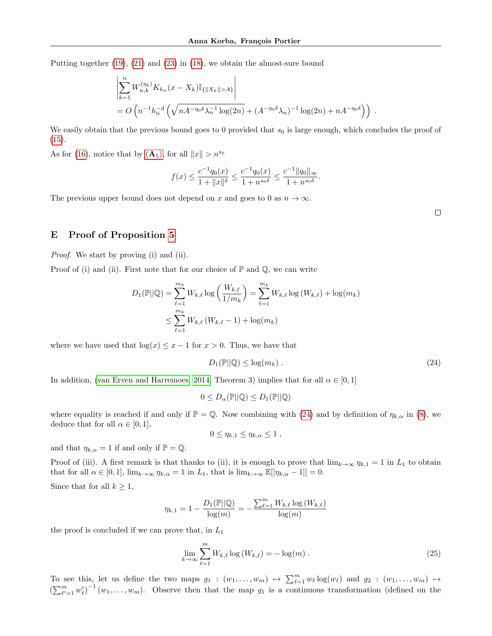Putting together [\(19\)](#page-20-2), [\(21\)](#page-20-3) and [\(23\)](#page-21-1) in [\(18\)](#page-20-0), we obtain the almost-sure bound

$$
\left| \sum_{k=1}^{n} W_{n,k}^{(\eta_k)} K_{h_n}(x - X_k) \mathbb{I}_{\{\|X_k\| > A\}} \right|
$$
  
=  $O\left( n^{-1} h_n^{-d} \left( \sqrt{n A^{-\eta_0 \delta} \lambda_n^{-1} \log(2n)} + (A^{-\eta_0 \delta} \lambda_n)^{-1} \log(2n) + n A^{-\eta_0 \delta} \right) \right).$ 

We easily obtain that the previous bound goes to 0 provided that  $s_0$  is large enough, which concludes the proof of  $(15).$  $(15).$ 

As for [\(16\)](#page-19-5), notice that by  $(\mathbf{A}_5)$  $(\mathbf{A}_5)$  $(\mathbf{A}_5)$ , for all  $||x|| > n^{s_0}$ 

$$
f(x) \le \frac{c^{-1}q_0(x)}{1 + ||x||^{\delta}} \le \frac{c^{-1}q_0(x)}{1 + n^{s_0\delta}} \le \frac{c^{-1}||q_0||_{\infty}}{1 + n^{s_0\delta}}
$$

The previous upper bound does not depend on x and goes to 0 as  $n \to \infty$ .

<span id="page-22-1"></span>

## <span id="page-22-0"></span>E Proof of Proposition [5](#page-5-1)

Proof. We start by proving (i) and (ii).

Proof of (i) and (ii). First note that for our choice of  $\mathbb P$  and  $\mathbb Q$ , we can write

$$
D_1(\mathbb{P}||\mathbb{Q}) = \sum_{\ell=1}^{m_k} W_{k,\ell} \log \left( \frac{W_{k,\ell}}{1/m_k} \right) = \sum_{\ell=1}^{m_k} W_{k,\ell} \log (W_{k,\ell}) + \log (m_k)
$$
  

$$
\leq \sum_{\ell=1}^{m_k} W_{k,\ell} (W_{k,\ell} - 1) + \log (m_k)
$$

where we have used that  $\log(x) \leq x - 1$  for  $x > 0$ . Thus, we have that

$$
D_1(\mathbb{P}||\mathbb{Q}) \le \log(m_k). \tag{24}
$$

.

In addition, [\(van Erven and Harremoes, 2014,](#page-10-5) Theorem 3) implies that for all  $\alpha \in [0,1]$ 

$$
0 \leq D_{\alpha}(\mathbb{P}||\mathbb{Q}) \leq D_1(\mathbb{P}||\mathbb{Q})
$$

where equality is reached if and only if  $\mathbb{P} = \mathbb{Q}$ . Now combining with [\(24\)](#page-22-1) and by definition of  $\eta_{k,\alpha}$  in [\(8\)](#page-5-0), we deduce that for all  $\alpha \in [0,1],$ 

<span id="page-22-2"></span>
$$
0\leq \eta_{k,1}\leq \eta_{k,\alpha}\leq 1,
$$

and that  $\eta_{k,\alpha} = 1$  if and only if  $\mathbb{P} = \mathbb{Q}$ .

Proof of (iii). A first remark is that thanks to (ii), it is enough to prove that  $\lim_{k\to\infty}\eta_{k,1}=1$  in  $L_1$  to obtain that for all  $\alpha \in [0,1]$ ,  $\lim_{k\to\infty} \eta_{k,\alpha} = 1$  in  $L_1$ , that is  $\lim_{k\to\infty} \mathbb{E}[|\eta_{k,\alpha} - 1|] = 0$ .

Since that for all  $k \geq 1$ ,

$$
\eta_{k,1} = 1 - \frac{D_1(\mathbb{P}||\mathbb{Q})}{\log(m)} = -\frac{\sum_{\ell=1}^m W_{k,\ell} \log(W_{k,\ell})}{\log(m)}
$$

the proof is concluded if we can prove that, in  $L_1$ 

$$
\lim_{k \to \infty} \sum_{\ell=1}^{m} W_{k,\ell} \log(W_{k,\ell}) = -\log(m) \tag{25}
$$

To see this, let us define the two maps  $g_1$  :  $(w_1,\ldots,w_m) \mapsto \sum_{\ell=1}^m w_\ell \log(w_\ell)$  and  $g_2$  :  $(w_1,\ldots,w_m) \mapsto$  $\left(\sum_{\ell'=1}^m w'_\ell\right)^{-1}(w_1,\ldots,w_m)$ . Observe then that the map  $g_1$  is a continuous transformation (defined on the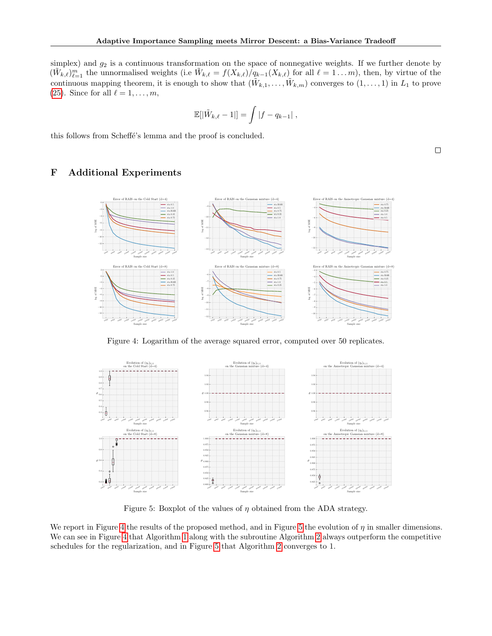simplex) and  $g_2$  is a continuous transformation on the space of nonnegative weights. If we further denote by  $(\tilde{W}_{k,\ell})_{\ell=1}^m$  the unnormalised weights (i.e  $\tilde{W}_{k,\ell} = f(X_{k,\ell})/q_{k-1}(X_{k,\ell})$  for all  $\ell = 1...m$ ), then, by virtue of the continuous mapping theorem, it is enough to show that  $(\tilde{W}_{k,1},\ldots,\tilde{W}_{k,m})$  converges to  $(1,\ldots,1)$  in  $L_1$  to prove [\(25\)](#page-22-2). Since for all  $\ell = 1, \ldots, m$ ,

$$
\mathbb{E}[|\tilde{W}_{k,\ell}-1|] = \int |f - q_{k-1}|\,,
$$

this follows from Scheffé's lemma and the proof is concluded.

<span id="page-23-1"></span><span id="page-23-0"></span>F Additional Experiments



Figure 4: Logarithm of the average squared error, computed over 50 replicates.

<span id="page-23-2"></span>

Figure 5: Boxplot of the values of  $\eta$  obtained from the ADA strategy.

We report in Figure [4](#page-23-1) the results of the proposed method, and in Figure [5](#page-23-2) the evolution of  $\eta$  in smaller dimensions. We can see in Figure [4](#page-23-1) that Algorithm [1](#page-3-0) along with the subroutine Algorithm [2](#page-5-2) always outperform the competitive schedules for the regularization, and in Figure [5](#page-23-2) that Algorithm [2](#page-5-2) converges to 1.

 $\Box$